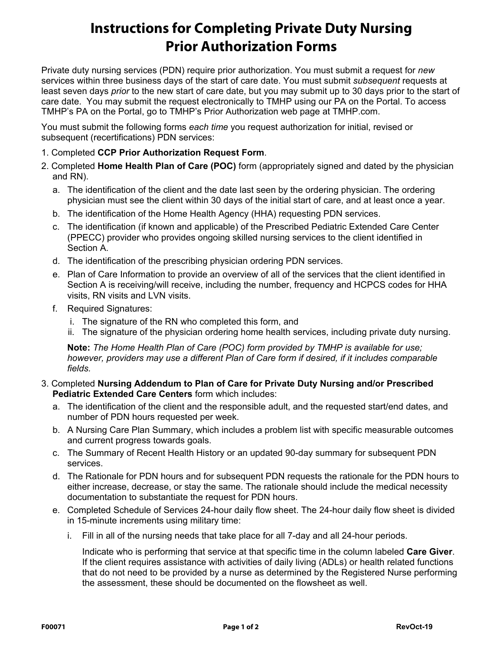# **Instructions for Completing Private Duty Nursing Prior Authorization Forms**

Private duty nursing services (PDN) require prior authorization. You must submit a request for *new*  services within three business days of the start of care date. You must submit *subsequent* requests at least seven days *prior* to the new start of care date, but you may submit up to 30 days prior to the start of care date. You may submit the request electronically to TMHP using our PA on the Portal. To access TMHP's PA on the Portal, go to TMHP's Prior Authorization web page at TMHP.com.

You must submit the following forms *each time* you request authorization for initial, revised or subsequent (recertifications) PDN services:

- 1. Completed **CCP Prior Authorization Request Form**.
- 2. Completed **Home Health Plan of Care (POC)** form (appropriately signed and dated by the physician and RN).
	- a. The identification of the client and the date last seen by the ordering physician. The ordering physician must see the client within 30 days of the initial start of care, and at least once a year.
	- b. The identification of the Home Health Agency (HHA) requesting PDN services.
	- c. The identification (if known and applicable) of the Prescribed Pediatric Extended Care Center (PPECC) provider who provides ongoing skilled nursing services to the client identified in Section A.
	- d. The identification of the prescribing physician ordering PDN services.
	- e. Plan of Care Information to provide an overview of all of the services that the client identified in Section A is receiving/will receive, including the number, frequency and HCPCS codes for HHA visits, RN visits and LVN visits.
	- f. Required Signatures:
		- i. The signature of the RN who completed this form, and
		- ii. The signature of the physician ordering home health services, including private duty nursing.

**Note:** *The Home Health Plan of Care (POC) form provided by TMHP is available for use; however, providers may use a different Plan of Care form if desired, if it includes comparable fields.*

- 3. Completed **Nursing Addendum to Plan of Care for Private Duty Nursing and/or Prescribed Pediatric Extended Care Centers** form which includes:
	- a. The identification of the client and the responsible adult, and the requested start/end dates, and number of PDN hours requested per week.
	- b. A Nursing Care Plan Summary, which includes a problem list with specific measurable outcomes and current progress towards goals.
	- c. The Summary of Recent Health History or an updated 90-day summary for subsequent PDN services.
	- d. The Rationale for PDN hours and for subsequent PDN requests the rationale for the PDN hours to either increase, decrease, or stay the same. The rationale should include the medical necessity documentation to substantiate the request for PDN hours.
	- e. Completed Schedule of Services 24-hour daily flow sheet. The 24-hour daily flow sheet is divided in 15-minute increments using military time:
		- i. Fill in all of the nursing needs that take place for all 7-day and all 24-hour periods.

Indicate who is performing that service at that specific time in the column labeled **Care Giver**. If the client requires assistance with activities of daily living (ADLs) or health related functions that do not need to be provided by a nurse as determined by the Registered Nurse performing the assessment, these should be documented on the flowsheet as well.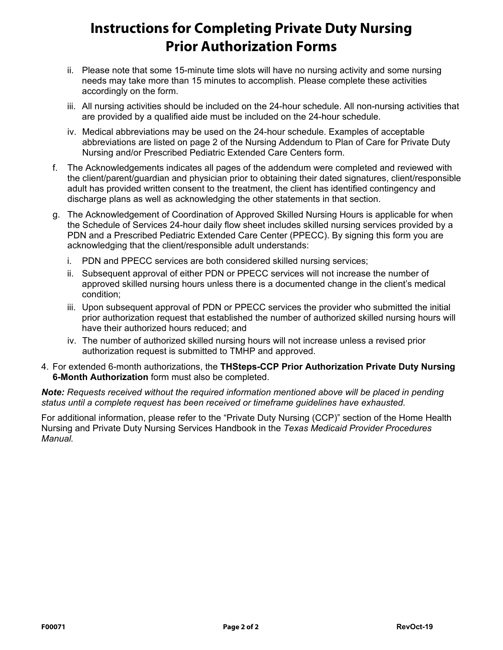# **Instructions for Completing Private Duty Nursing Prior Authorization Forms**

- ii. Please note that some 15-minute time slots will have no nursing activity and some nursing needs may take more than 15 minutes to accomplish. Please complete these activities accordingly on the form.
- iii. All nursing activities should be included on the 24-hour schedule. All non-nursing activities that are provided by a qualified aide must be included on the 24-hour schedule.
- iv. Medical abbreviations may be used on the 24-hour schedule. Examples of acceptable abbreviations are listed on page 2 of the Nursing Addendum to Plan of Care for Private Duty Nursing and/or Prescribed Pediatric Extended Care Centers form.
- f. The Acknowledgements indicates all pages of the addendum were completed and reviewed with the client/parent/guardian and physician prior to obtaining their dated signatures, client/responsible adult has provided written consent to the treatment, the client has identified contingency and discharge plans as well as acknowledging the other statements in that section.
- g. The Acknowledgement of Coordination of Approved Skilled Nursing Hours is applicable for when the Schedule of Services 24-hour daily flow sheet includes skilled nursing services provided by a PDN and a Prescribed Pediatric Extended Care Center (PPECC). By signing this form you are acknowledging that the client/responsible adult understands:
	- i. PDN and PPECC services are both considered skilled nursing services;
	- ii. Subsequent approval of either PDN or PPECC services will not increase the number of approved skilled nursing hours unless there is a documented change in the client's medical condition;
	- iii. Upon subsequent approval of PDN or PPECC services the provider who submitted the initial prior authorization request that established the number of authorized skilled nursing hours will have their authorized hours reduced; and
	- iv. The number of authorized skilled nursing hours will not increase unless a revised prior authorization request is submitted to TMHP and approved.
- 4. For extended 6-month authorizations, the **THSteps-CCP Prior Authorization Private Duty Nursing 6-Month Authorization** form must also be completed.

*Note: Requests received without the required information mentioned above will be placed in pending status until a complete request has been received or timeframe guidelines have exhausted.* 

For additional information, please refer to the "Private Duty Nursing (CCP)" section of the Home Health Nursing and Private Duty Nursing Services Handbook in the *Texas Medicaid Provider Procedures Manual.*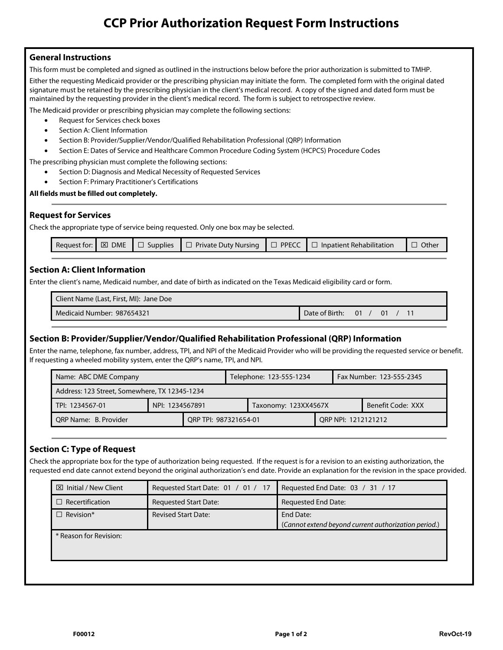# **CCP Prior Authorization Request Form Instructions**

### **General Instructions**

**General Instructions**  This form must be completed and signed as outlined in the instructions below before the prior authorization is submitted to TMHP.

Either the requesting Medicaid provider or the prescribing physician may initiate the form. The completed form with the original dated signature must be retained by the prescribing physician in the client's medical record. A copy of the signed and dated form must be maintained by the requesting provider in the client's medical record. The form is subject to retrospective review.

The Medicaid provider or prescribing physician may complete the following sections:

- Request for Services check boxes
- Section A: Client Information
- Section B: Provider/Supplier/Vendor/Qualified Rehabilitation Professional (QRP) Information
- Section E: Dates of Service and Healthcare Common Procedure Coding System (HCPCS) Procedure Codes

The prescribing physician must complete the following sections:

- Section D: Diagnosis and Medical Necessity of Requested Services
- Section F: Primary Practitioner's Certifications

### **All fields must be filled out completely.**

**The Check the appropriate type of service being requested. Only one box may be selected.** 

|  | Request for: $\boxtimes$ DME $\Box$ Supplies |  |  | $\Box$ Private Duty Nursing | $\Pi$ $\square$ PPECC $\parallel$ $\square$ | □ Inpatient Rehabilitation | Other |
|--|----------------------------------------------|--|--|-----------------------------|---------------------------------------------|----------------------------|-------|
|--|----------------------------------------------|--|--|-----------------------------|---------------------------------------------|----------------------------|-------|

### **Section A: Client Information**

Enter the client's name, Medicaid number, and date of birth as indicated on the Texas Medicaid eligibility card or form.

| Client Name (Last, First, MI): Jane Doe |                   |    |  |
|-----------------------------------------|-------------------|----|--|
| Medicaid Number: 987654321              | Date of Birth: 01 | 01 |  |

Enter the name, telephone, fax number, address, TPI, and NPI of the Medicaid Provider who will be providing the requested service or benefit. If requesting a wheeled mobility system, enter the QRP's name, TPI, and NPI.

| Name: ABC DME Company                         |                       | Telephone: 123-555-1234<br>Fax Number: 123-555-2345 |  |                      |  |  |                   |
|-----------------------------------------------|-----------------------|-----------------------------------------------------|--|----------------------|--|--|-------------------|
| Address: 123 Street, Somewhere, TX 12345-1234 |                       |                                                     |  |                      |  |  |                   |
| NPI: 1234567891<br>TPI: 1234567-01            |                       |                                                     |  | Taxonomy: 123XX4567X |  |  | Benefit Code: XXX |
| QRP Name: B. Provider                         | ORP TPI: 987321654-01 |                                                     |  | ORP NPI: 1212121212  |  |  |                   |

**Section C: Type of Request**  Check the appropriate box for the type of authorization being requested. If the request is for a revision to an existing authorization, the requested end date cannot extend beyond the original authorization's end date. Provide an explanation for the revision in the space provided.

| $\boxtimes$ Initial / New Client | Requested Start Date: 01 / 01 / 17 | Requested End Date: 03 / 31 / 17                                  |
|----------------------------------|------------------------------------|-------------------------------------------------------------------|
| $\Box$ Recertification           | <b>Requested Start Date:</b>       | Requested End Date:                                               |
| $\Box$ Revision*                 | <b>Revised Start Date:</b>         | End Date:<br>(Cannot extend beyond current authorization period.) |
| * Reason for Revision:           |                                    |                                                                   |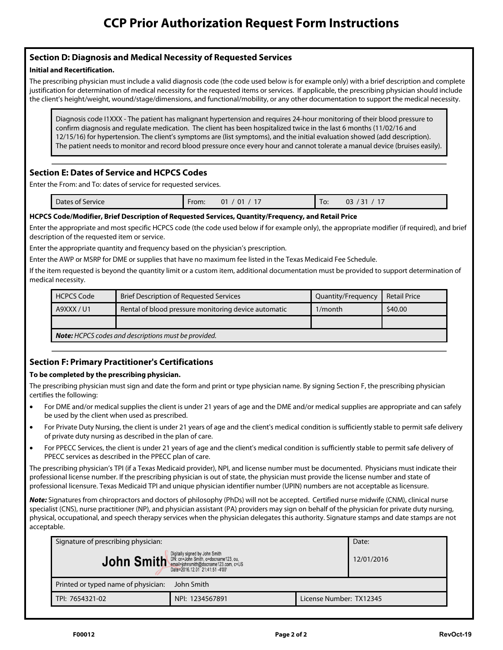# **Section D: Diagnosis and Medical Necessity of Requested Services**

**Initial and Recertification.**  The prescribing physician must include a valid diagnosis code (the code used below is for example only) with a brief description and complete justification for determination of medical necessity for the requested items or services. If applicable, the prescribing physician should include the client's height/weight, wound/stage/dimensions, and functional/mobility, or any other documentation to support the medical necessity.

Diagnosis code I1XXX - The patient has malignant hypertension and requires 24-hour monitoring of their blood pressure to confirm diagnosis and regulate medication. The client has been hospitalized twice in the last 6 months (11/02/16 and 12/15/16) for hypertension. The client's symptoms are (list symptoms), and the initial evaluation showed (add description). The patient needs to monitor and record blood pressure once every hour and cannot tolerate a manual device (bruises easily).

**Exection Execution Execution Exercice Service for From:**<br>Enter the From: and To: dates of service for requested services.

| Dates of Service | From: | $0^{\circ}$<br>01 | lo: | ~~<br>$\sim$<br>צו<br>ັບ<br>- |
|------------------|-------|-------------------|-----|-------------------------------|
|                  |       |                   |     |                               |

Enter the appropriate and most specific HCPCS code (the code used below if for example only), the appropriate modifier (if required), and brief description of the requested item or service.

Enter the appropriate quantity and frequency based on the physician's prescription.

Enter the AWP or MSRP for DME or supplies that have no maximum fee listed in the Texas Medicaid Fee Schedule.

If the item requested is beyond the quantity limit or a custom item, additional documentation must be provided to support determination of medical necessity.

| <b>HCPCS Code</b>                                           | <b>Brief Description of Requested Services</b>       | Quantity/Frequency | <b>Retail Price</b> |  |  |  |  |
|-------------------------------------------------------------|------------------------------------------------------|--------------------|---------------------|--|--|--|--|
| A9XXX/U1                                                    | Rental of blood pressure monitoring device automatic | $1/m$ onth         | \$40.00             |  |  |  |  |
|                                                             |                                                      |                    |                     |  |  |  |  |
| <b>Note:</b> HCPCS codes and descriptions must be provided. |                                                      |                    |                     |  |  |  |  |

# **Section F: Primary Practitioner's Certifications**

**To be completed by the prescribing physician.**  The prescribing physician must sign and date the form and print or type physician name. By signing Section F, the prescribing physician certifies the following:

- For DME and/or medical supplies the client is under 21 years of age and the DME and/or medical supplies are appropriate and can safely be used by the client when used as prescribed.
- For Private Duty Nursing, the client is under 21 years of age and the client's medical condition is sufficiently stable to permit safe delivery of private duty nursing as described in the plan of care.
- For PPECC Services, the client is under 21 years of age and the client's medical condition is sufficiently stable to permit safe delivery of PPECC services as described in the PPECC plan of care.

The prescribing physician's TPI (if a Texas Medicaid provider), NPI, and license number must be documented. Physicians must indicate their professional license number. If the prescribing physician is out of state, the physician must provide the license number and state of professional licensure. Texas Medicaid TPI and unique physician identifier number (UPIN) numbers are not acceptable as licensure.

*Note:* Signatures from chiropractors and doctors of philosophy (PhDs) will not be accepted. Certified nurse midwife (CNM), clinical nurse specialist (CNS), nurse practitioner (NP), and physician assistant (PA) providers may sign on behalf of the physician for private duty nursing, physical, occupational, and speech therapy services when the physician delegates this authority. Signature stamps and date stamps are not acceptable.

| Signature of prescribing physician:                                                                                                                                                                                                                                                                                                                                                                                                                                                  | Date:           |                         |  |  |  |  |
|--------------------------------------------------------------------------------------------------------------------------------------------------------------------------------------------------------------------------------------------------------------------------------------------------------------------------------------------------------------------------------------------------------------------------------------------------------------------------------------|-----------------|-------------------------|--|--|--|--|
| $\textbf{John Smith}^{{\texttt{Digit} }{\texttt{D}}}_{\texttt{name=plamsmit}^{\texttt{Object}}} \mathbf{Smit}^{{\texttt{Digit} }{\texttt{D}}}_{\texttt{name=plamsmit}^{\texttt{D}} \texttt{Object}} \mathbf{Sant}^{{\texttt{D}}{\texttt{D}}{\texttt{C}} \texttt{C}}_{\texttt{name=plamsmit}^{\texttt{D}} \texttt{Object}} \mathbf{Sant}^{{\texttt{D}}{\texttt{C}}{\texttt{C}} \texttt{C}} \mathbf{S}^{{\texttt{D}}{\texttt{C}} \texttt{C}} \mathbf{S}^{{\texttt{D}}{\$<br>12/01/2016 |                 |                         |  |  |  |  |
| Printed or typed name of physician:<br>John Smith                                                                                                                                                                                                                                                                                                                                                                                                                                    |                 |                         |  |  |  |  |
| TPI: 7654321-02                                                                                                                                                                                                                                                                                                                                                                                                                                                                      | NPI: 1234567891 | License Number: TX12345 |  |  |  |  |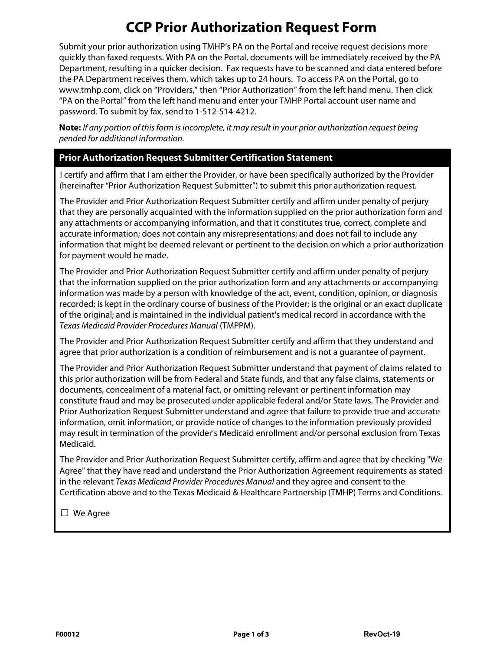**CCP Prior Authorization Request Form** Submit your prior authorization using TMHP's PA on the Portal and receive request decisions more quickly than faxed requests. With PA on the Portal, documents will be immediately received by the PA Department, resulting in a quicker decision. Fax requests have to be scanned and data entered before the PA Department receives them, which takes up to 24 hours. To access PA on the Portal, go to www.tmhp.com, click on "Providers," then "Prior Authorization" from the left hand menu. Then click "PA on the Portal" from the left hand menu and enter your TMHP Portal account user name and password. To submit by fax, send to 1-512-514-4212.

**Note:** If any portion of this form is incomplete, it may result in your prior authorization request being pended for additional information.

### **Prior Authorization Request Submitter Certification Statement**

I certify and affirm that I am either the Provider, or have been specifically authorized by the Provider (hereinafter "Prior Authorization Request Submitter") to submit this prior authorization request.

The Provider and Prior Authorization Request Submitter certify and affirm under penalty of perjury that they are personally acquainted with the information supplied on the prior authorization form and any attachments or accompanying information, and that it constitutes true, correct, complete and accurate information; does not contain any misrepresentations; and does not fail to include any information that might be deemed relevant or pertinent to the decision on which a prior authorization for payment would be made.

The Provider and Prior Authorization Request Submitter certify and affirm under penalty of perjury that the information supplied on the prior authorization form and any attachments or accompanying information was made by a person with knowledge of the act, event, condition, opinion, or diagnosis recorded; is kept in the ordinary course of business of the Provider; is the original or an exact duplicate of the original; and is maintained in the individual patient's medical record in accordance with the Texas Medicaid Provider Procedures Manual (TMPPM).

The Provider and Prior Authorization Request Submitter certify and affirm that they understand and agree that prior authorization is a condition of reimbursement and is not a guarantee of payment.

The Provider and Prior Authorization Request Submitter understand that payment of claims related to this prior authorization will be from Federal and State funds, and that any false claims, statements or documents, concealment of a material fact, or omitting relevant or pertinent information may constitute fraud and may be prosecuted under applicable federal and/or State laws. The Provider and Prior Authorization Request Submitter understand and agree that failure to provide true and accurate information, omit information, or provide notice of changes to the information previously provided may result in termination of the provider's Medicaid enrollment and/or personal exclusion from Texas Medicaid.

The Provider and Prior Authorization Request Submitter certify, affirm and agree that by checking "We Agree" that they have read and understand the Prior Authorization Agreement requirements as stated in the relevant Texas Medicaid Provider Procedures Manual and they agree and consent to the Certification above and to the Texas Medicaid & Healthcare Partnership (TMHP) Terms and Conditions.

**□** We Agree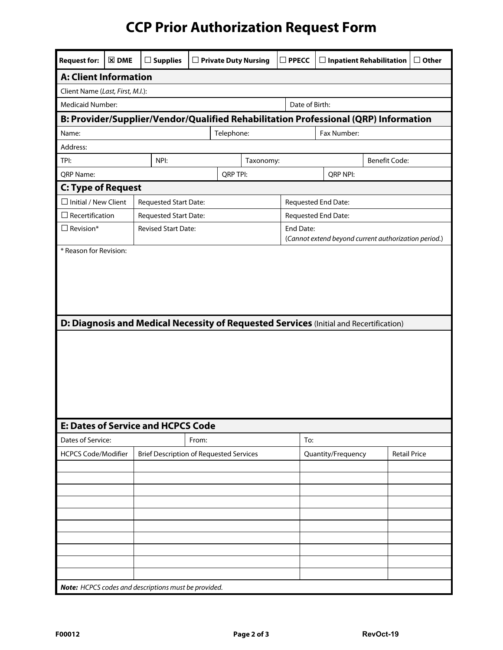# **CCP Prior Authorization Request Form**

| <b>Request for:</b>                                                                    | $\Sigma$ DME      | $\Box$ Supplies                                |       | $\Box$ Private Duty Nursing<br>$\square$ PPECC                                      |  |                | $\Box$ Inpatient Rehabilitation | $\Box$ Other                                         |                     |
|----------------------------------------------------------------------------------------|-------------------|------------------------------------------------|-------|-------------------------------------------------------------------------------------|--|----------------|---------------------------------|------------------------------------------------------|---------------------|
| <b>A: Client Information</b>                                                           |                   |                                                |       |                                                                                     |  |                |                                 |                                                      |                     |
| Client Name (Last, First, M.I.):                                                       |                   |                                                |       |                                                                                     |  |                |                                 |                                                      |                     |
| <b>Medicaid Number:</b>                                                                |                   |                                                |       |                                                                                     |  | Date of Birth: |                                 |                                                      |                     |
|                                                                                        |                   |                                                |       | B: Provider/Supplier/Vendor/Qualified Rehabilitation Professional (QRP) Information |  |                |                                 |                                                      |                     |
| Fax Number:<br>Telephone:<br>Name:                                                     |                   |                                                |       |                                                                                     |  |                |                                 |                                                      |                     |
| Address:                                                                               |                   |                                                |       |                                                                                     |  |                |                                 |                                                      |                     |
| TPI:                                                                                   | NPI:<br>Taxonomy: |                                                |       |                                                                                     |  |                |                                 | <b>Benefit Code:</b>                                 |                     |
| QRP Name:                                                                              |                   |                                                |       | <b>QRP TPI:</b>                                                                     |  |                | QRP NPI:                        |                                                      |                     |
| <b>C: Type of Request</b>                                                              |                   |                                                |       |                                                                                     |  |                |                                 |                                                      |                     |
| $\Box$ Initial / New Client                                                            |                   | Requested Start Date:                          |       |                                                                                     |  |                | Requested End Date:             |                                                      |                     |
| $\Box$ Recertification                                                                 |                   | Requested Start Date:                          |       |                                                                                     |  |                | Requested End Date:             |                                                      |                     |
| $\Box$ Revision*                                                                       |                   | <b>Revised Start Date:</b>                     |       |                                                                                     |  | End Date:      |                                 | (Cannot extend beyond current authorization period.) |                     |
| * Reason for Revision:                                                                 |                   |                                                |       |                                                                                     |  |                |                                 |                                                      |                     |
| D: Diagnosis and Medical Necessity of Requested Services (Initial and Recertification) |                   |                                                |       |                                                                                     |  |                |                                 |                                                      |                     |
| Dates of Service:                                                                      |                   | <b>E: Dates of Service and HCPCS Code</b>      |       |                                                                                     |  |                |                                 |                                                      |                     |
| <b>HCPCS Code/Modifier</b>                                                             |                   | <b>Brief Description of Requested Services</b> | From: |                                                                                     |  | To:            | Quantity/Frequency              |                                                      | <b>Retail Price</b> |
|                                                                                        |                   |                                                |       |                                                                                     |  |                |                                 |                                                      |                     |
|                                                                                        |                   |                                                |       |                                                                                     |  |                |                                 |                                                      |                     |
|                                                                                        |                   |                                                |       |                                                                                     |  |                |                                 |                                                      |                     |
|                                                                                        |                   |                                                |       |                                                                                     |  |                |                                 |                                                      |                     |
|                                                                                        |                   |                                                |       |                                                                                     |  |                |                                 |                                                      |                     |
|                                                                                        |                   |                                                |       |                                                                                     |  |                |                                 |                                                      |                     |
|                                                                                        |                   |                                                |       |                                                                                     |  |                |                                 |                                                      |                     |
|                                                                                        |                   |                                                |       |                                                                                     |  |                |                                 |                                                      |                     |
|                                                                                        |                   |                                                |       |                                                                                     |  |                |                                 |                                                      |                     |
|                                                                                        |                   |                                                |       |                                                                                     |  |                |                                 |                                                      |                     |
| Note: HCPCS codes and descriptions must be provided.                                   |                   |                                                |       |                                                                                     |  |                |                                 |                                                      |                     |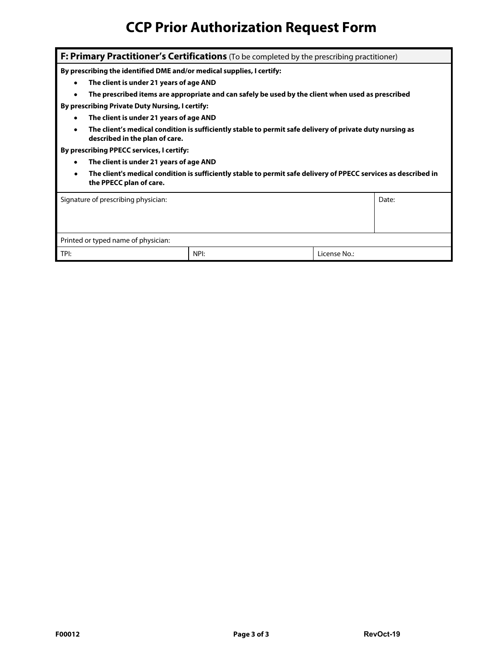# **CCP Prior Authorization Request Form**

| <b>F: Primary Practitioner's Certifications</b> (To be completed by the prescribing practitioner)                                                       |                                                                                                   |  |              |  |  |  |  |
|---------------------------------------------------------------------------------------------------------------------------------------------------------|---------------------------------------------------------------------------------------------------|--|--------------|--|--|--|--|
| By prescribing the identified DME and/or medical supplies, I certify:                                                                                   |                                                                                                   |  |              |  |  |  |  |
| The client is under 21 years of age AND<br>$\bullet$                                                                                                    |                                                                                                   |  |              |  |  |  |  |
|                                                                                                                                                         | The prescribed items are appropriate and can safely be used by the client when used as prescribed |  |              |  |  |  |  |
| By prescribing Private Duty Nursing, I certify:                                                                                                         |                                                                                                   |  |              |  |  |  |  |
| The client is under 21 years of age AND                                                                                                                 |                                                                                                   |  |              |  |  |  |  |
| The client's medical condition is sufficiently stable to permit safe delivery of private duty nursing as<br>described in the plan of care.              |                                                                                                   |  |              |  |  |  |  |
| By prescribing PPECC services, I certify:                                                                                                               |                                                                                                   |  |              |  |  |  |  |
| The client is under 21 years of age AND<br>٠                                                                                                            |                                                                                                   |  |              |  |  |  |  |
| The client's medical condition is sufficiently stable to permit safe delivery of PPECC services as described in<br>$\bullet$<br>the PPECC plan of care. |                                                                                                   |  |              |  |  |  |  |
|                                                                                                                                                         | Signature of prescribing physician:<br>Date:                                                      |  |              |  |  |  |  |
|                                                                                                                                                         |                                                                                                   |  |              |  |  |  |  |
|                                                                                                                                                         |                                                                                                   |  |              |  |  |  |  |
| Printed or typed name of physician:                                                                                                                     |                                                                                                   |  |              |  |  |  |  |
| TPI:                                                                                                                                                    | NPI:                                                                                              |  | License No.: |  |  |  |  |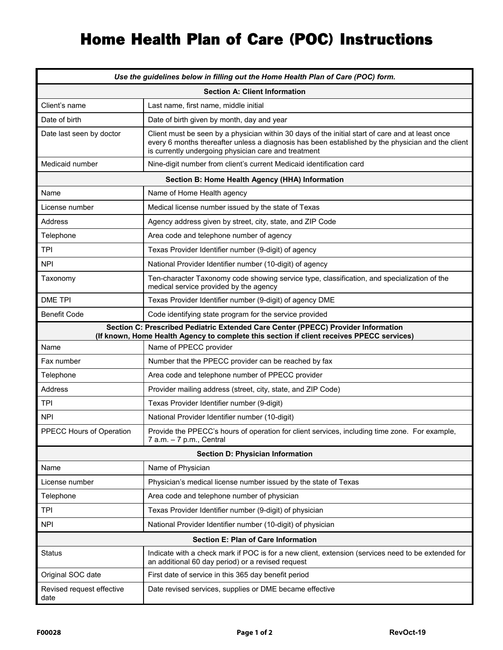# Home Health Plan of Care (POC) Instructions

| Use the guidelines below in filling out the Home Health Plan of Care (POC) form.                                                                                               |                                                                                                                                                                                                                                                               |  |  |  |  |  |
|--------------------------------------------------------------------------------------------------------------------------------------------------------------------------------|---------------------------------------------------------------------------------------------------------------------------------------------------------------------------------------------------------------------------------------------------------------|--|--|--|--|--|
| <b>Section A: Client Information</b>                                                                                                                                           |                                                                                                                                                                                                                                                               |  |  |  |  |  |
| Client's name                                                                                                                                                                  | Last name, first name, middle initial                                                                                                                                                                                                                         |  |  |  |  |  |
| Date of birth                                                                                                                                                                  | Date of birth given by month, day and year                                                                                                                                                                                                                    |  |  |  |  |  |
| Date last seen by doctor                                                                                                                                                       | Client must be seen by a physician within 30 days of the initial start of care and at least once<br>every 6 months thereafter unless a diagnosis has been established by the physician and the client<br>is currently undergoing physician care and treatment |  |  |  |  |  |
| Medicaid number                                                                                                                                                                | Nine-digit number from client's current Medicaid identification card                                                                                                                                                                                          |  |  |  |  |  |
|                                                                                                                                                                                | Section B: Home Health Agency (HHA) Information                                                                                                                                                                                                               |  |  |  |  |  |
| Name                                                                                                                                                                           | Name of Home Health agency                                                                                                                                                                                                                                    |  |  |  |  |  |
| License number                                                                                                                                                                 | Medical license number issued by the state of Texas                                                                                                                                                                                                           |  |  |  |  |  |
| Address                                                                                                                                                                        | Agency address given by street, city, state, and ZIP Code                                                                                                                                                                                                     |  |  |  |  |  |
| Telephone                                                                                                                                                                      | Area code and telephone number of agency                                                                                                                                                                                                                      |  |  |  |  |  |
| <b>TPI</b>                                                                                                                                                                     | Texas Provider Identifier number (9-digit) of agency                                                                                                                                                                                                          |  |  |  |  |  |
| <b>NPI</b>                                                                                                                                                                     | National Provider Identifier number (10-digit) of agency                                                                                                                                                                                                      |  |  |  |  |  |
| Taxonomy                                                                                                                                                                       | Ten-character Taxonomy code showing service type, classification, and specialization of the<br>medical service provided by the agency                                                                                                                         |  |  |  |  |  |
| <b>DME TPI</b>                                                                                                                                                                 | Texas Provider Identifier number (9-digit) of agency DME                                                                                                                                                                                                      |  |  |  |  |  |
| <b>Benefit Code</b>                                                                                                                                                            | Code identifying state program for the service provided                                                                                                                                                                                                       |  |  |  |  |  |
| Section C: Prescribed Pediatric Extended Care Center (PPECC) Provider Information<br>(If known, Home Health Agency to complete this section if client receives PPECC services) |                                                                                                                                                                                                                                                               |  |  |  |  |  |
| Name                                                                                                                                                                           | Name of PPECC provider                                                                                                                                                                                                                                        |  |  |  |  |  |
| Fax number                                                                                                                                                                     | Number that the PPECC provider can be reached by fax                                                                                                                                                                                                          |  |  |  |  |  |
| Telephone                                                                                                                                                                      | Area code and telephone number of PPECC provider                                                                                                                                                                                                              |  |  |  |  |  |
| Address                                                                                                                                                                        | Provider mailing address (street, city, state, and ZIP Code)                                                                                                                                                                                                  |  |  |  |  |  |
| <b>TPI</b>                                                                                                                                                                     | Texas Provider Identifier number (9-digit)                                                                                                                                                                                                                    |  |  |  |  |  |
| <b>NPI</b>                                                                                                                                                                     | National Provider Identifier number (10-digit)                                                                                                                                                                                                                |  |  |  |  |  |
| PPECC Hours of Operation                                                                                                                                                       | Provide the PPECC's hours of operation for client services, including time zone. For example,<br>7 a.m. – 7 p.m., Central                                                                                                                                     |  |  |  |  |  |
|                                                                                                                                                                                | <b>Section D: Physician Information</b>                                                                                                                                                                                                                       |  |  |  |  |  |
| Name                                                                                                                                                                           | Name of Physician                                                                                                                                                                                                                                             |  |  |  |  |  |
| License number                                                                                                                                                                 | Physician's medical license number issued by the state of Texas                                                                                                                                                                                               |  |  |  |  |  |
| Telephone                                                                                                                                                                      | Area code and telephone number of physician                                                                                                                                                                                                                   |  |  |  |  |  |
| <b>TPI</b>                                                                                                                                                                     | Texas Provider Identifier number (9-digit) of physician                                                                                                                                                                                                       |  |  |  |  |  |
| <b>NPI</b>                                                                                                                                                                     | National Provider Identifier number (10-digit) of physician                                                                                                                                                                                                   |  |  |  |  |  |
|                                                                                                                                                                                | <b>Section E: Plan of Care Information</b>                                                                                                                                                                                                                    |  |  |  |  |  |
| <b>Status</b>                                                                                                                                                                  | Indicate with a check mark if POC is for a new client, extension (services need to be extended for<br>an additional 60 day period) or a revised request                                                                                                       |  |  |  |  |  |
| Original SOC date                                                                                                                                                              | First date of service in this 365 day benefit period                                                                                                                                                                                                          |  |  |  |  |  |
| Revised request effective<br>date                                                                                                                                              | Date revised services, supplies or DME became effective                                                                                                                                                                                                       |  |  |  |  |  |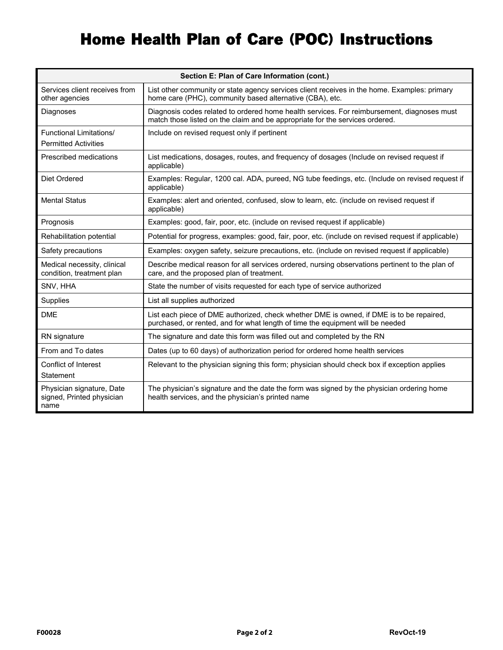# Home Health Plan of Care (POC) Instructions

| Section E: Plan of Care Information (cont.)                    |                                                                                                                                                                            |  |  |  |  |  |
|----------------------------------------------------------------|----------------------------------------------------------------------------------------------------------------------------------------------------------------------------|--|--|--|--|--|
| Services client receives from<br>other agencies                | List other community or state agency services client receives in the home. Examples: primary<br>home care (PHC), community based alternative (CBA), etc.                   |  |  |  |  |  |
| Diagnoses                                                      | Diagnosis codes related to ordered home health services. For reimbursement, diagnoses must<br>match those listed on the claim and be appropriate for the services ordered. |  |  |  |  |  |
| <b>Functional Limitations/</b><br><b>Permitted Activities</b>  | Include on revised request only if pertinent                                                                                                                               |  |  |  |  |  |
| Prescribed medications                                         | List medications, dosages, routes, and frequency of dosages (Include on revised request if<br>applicable)                                                                  |  |  |  |  |  |
| Diet Ordered                                                   | Examples: Regular, 1200 cal. ADA, pureed, NG tube feedings, etc. (Include on revised request if<br>applicable)                                                             |  |  |  |  |  |
| <b>Mental Status</b>                                           | Examples: alert and oriented, confused, slow to learn, etc. (include on revised request if<br>applicable)                                                                  |  |  |  |  |  |
| Prognosis                                                      | Examples: good, fair, poor, etc. (include on revised request if applicable)                                                                                                |  |  |  |  |  |
| Rehabilitation potential                                       | Potential for progress, examples: good, fair, poor, etc. (include on revised request if applicable)                                                                        |  |  |  |  |  |
| Safety precautions                                             | Examples: oxygen safety, seizure precautions, etc. (include on revised request if applicable)                                                                              |  |  |  |  |  |
| Medical necessity, clinical<br>condition, treatment plan       | Describe medical reason for all services ordered, nursing observations pertinent to the plan of<br>care, and the proposed plan of treatment.                               |  |  |  |  |  |
| SNV, HHA                                                       | State the number of visits requested for each type of service authorized                                                                                                   |  |  |  |  |  |
| Supplies                                                       | List all supplies authorized                                                                                                                                               |  |  |  |  |  |
| <b>DME</b>                                                     | List each piece of DME authorized, check whether DME is owned, if DME is to be repaired,<br>purchased, or rented, and for what length of time the equipment will be needed |  |  |  |  |  |
| RN signature                                                   | The signature and date this form was filled out and completed by the RN                                                                                                    |  |  |  |  |  |
| From and To dates                                              | Dates (up to 60 days) of authorization period for ordered home health services                                                                                             |  |  |  |  |  |
| Conflict of Interest<br>Statement                              | Relevant to the physician signing this form; physician should check box if exception applies                                                                               |  |  |  |  |  |
| Physician signature, Date<br>signed, Printed physician<br>name | The physician's signature and the date the form was signed by the physician ordering home<br>health services, and the physician's printed name                             |  |  |  |  |  |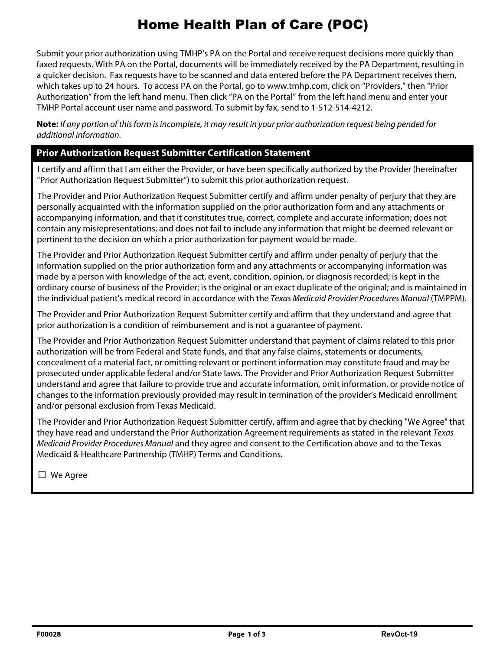## Home Health Plan of Care (POC)

Submit your prior authorization using TMHP's PA on the Portal and receive request decisions more quickly than faxed requests. With PA on the Portal, documents will be immediately received by the PA Department, resulting in a quicker decision. Fax requests have to be scanned and data entered before the PA Department receives them, which takes up to 24 hours. To access PA on the Portal, go to www.tmhp.com, click on "Providers," then "Prior Authorization" from the left hand menu. Then click "PA on the Portal" from the left hand menu and enter your TMHP Portal account user name and password. To submit by fax, send to 1-512-514-4212.

**Note:** If any portion of this form is incomplete, it may result in your prior authorization request being pended for additional information.

**Prior Authorization Request Submitter Certification Statement**  I certify and affirm that I am either the Provider, or have been specifically authorized by the Provider (hereinafter "Prior Authorization Request Submitter") to submit this prior authorization request.

The Provider and Prior Authorization Request Submitter certify and affirm under penalty of perjury that they are personally acquainted with the information supplied on the prior authorization form and any attachments or accompanying information, and that it constitutes true, correct, complete and accurate information; does not contain any misrepresentations; and does not fail to include any information that might be deemed relevant or pertinent to the decision on which a prior authorization for payment would be made.

The Provider and Prior Authorization Request Submitter certify and affirm under penalty of perjury that the information supplied on the prior authorization form and any attachments or accompanying information was made by a person with knowledge of the act, event, condition, opinion, or diagnosis recorded; is kept in the ordinary course of business of the Provider; is the original or an exact duplicate of the original; and is maintained in the individual patient's medical record in accordance with the Texas Medicaid Provider Procedures Manual (TMPPM).

The Provider and Prior Authorization Request Submitter certify and affirm that they understand and agree that prior authorization is a condition of reimbursement and is not a guarantee of payment.

The Provider and Prior Authorization Request Submitter understand that payment of claims related to this prior authorization will be from Federal and State funds, and that any false claims, statements or documents, concealment of a material fact, or omitting relevant or pertinent information may constitute fraud and may be prosecuted under applicable federal and/or State laws. The Provider and Prior Authorization Request Submitter understand and agree that failure to provide true and accurate information, omit information, or provide notice of changes to the information previously provided may result in termination of the provider's Medicaid enrollment and/or personal exclusion from Texas Medicaid.

The Provider and Prior Authorization Request Submitter certify, affirm and agree that by checking "We Agree" that they have read and understand the Prior Authorization Agreement requirements as stated in the relevant Texas Medicaid Provider Procedures Manual and they agree and consent to the Certification above and to the Texas Medicaid & Healthcare Partnership (TMHP) Terms and Conditions.

**□** We Agree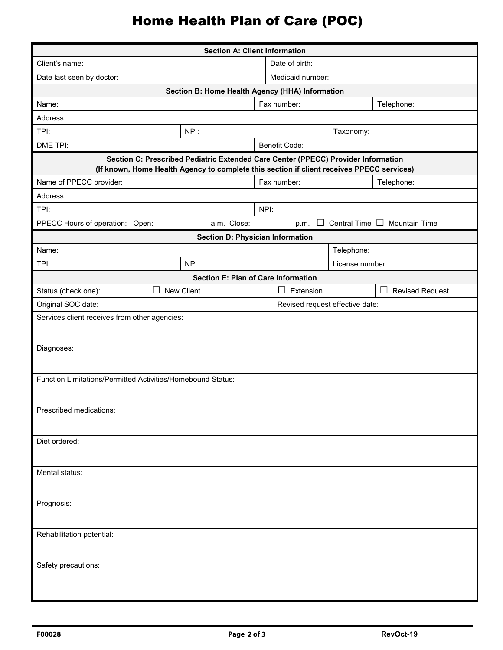# Home Health Plan of Care (POC)

|                                                             |                                                 | <b>Section A: Client Information</b>                                                                                                                                           |                |                                 |                 |                                                              |  |  |
|-------------------------------------------------------------|-------------------------------------------------|--------------------------------------------------------------------------------------------------------------------------------------------------------------------------------|----------------|---------------------------------|-----------------|--------------------------------------------------------------|--|--|
| Client's name:                                              |                                                 |                                                                                                                                                                                | Date of birth: |                                 |                 |                                                              |  |  |
| Date last seen by doctor:                                   |                                                 |                                                                                                                                                                                |                | Medicaid number:                |                 |                                                              |  |  |
|                                                             | Section B: Home Health Agency (HHA) Information |                                                                                                                                                                                |                |                                 |                 |                                                              |  |  |
| Fax number:<br>Telephone:<br>Name:                          |                                                 |                                                                                                                                                                                |                |                                 |                 |                                                              |  |  |
| Address:                                                    |                                                 |                                                                                                                                                                                |                |                                 |                 |                                                              |  |  |
| TPI:                                                        |                                                 | NPI:                                                                                                                                                                           |                |                                 | Taxonomy:       |                                                              |  |  |
| DME TPI:                                                    |                                                 |                                                                                                                                                                                |                | Benefit Code:                   |                 |                                                              |  |  |
|                                                             |                                                 | Section C: Prescribed Pediatric Extended Care Center (PPECC) Provider Information<br>(If known, Home Health Agency to complete this section if client receives PPECC services) |                |                                 |                 |                                                              |  |  |
| Name of PPECC provider:                                     |                                                 |                                                                                                                                                                                |                | Fax number:                     |                 | Telephone:                                                   |  |  |
| Address:                                                    |                                                 |                                                                                                                                                                                |                |                                 |                 |                                                              |  |  |
| TPI:                                                        |                                                 |                                                                                                                                                                                | NPI:           |                                 |                 |                                                              |  |  |
| PPECC Hours of operation: Open: __                          |                                                 |                                                                                                                                                                                |                |                                 |                 | _a.m. Close: ___________ p.m. □ Central Time □ Mountain Time |  |  |
|                                                             |                                                 | <b>Section D: Physician Information</b>                                                                                                                                        |                |                                 |                 |                                                              |  |  |
| Name:                                                       |                                                 |                                                                                                                                                                                |                |                                 | Telephone:      |                                                              |  |  |
| TPI:                                                        |                                                 | NPI:                                                                                                                                                                           |                |                                 | License number: |                                                              |  |  |
|                                                             |                                                 | <b>Section E: Plan of Care Information</b>                                                                                                                                     |                |                                 |                 |                                                              |  |  |
| Status (check one):                                         | $\perp$                                         | New Client                                                                                                                                                                     | Extension      |                                 |                 | $\perp$<br><b>Revised Request</b>                            |  |  |
| Original SOC date:                                          |                                                 |                                                                                                                                                                                |                | Revised request effective date: |                 |                                                              |  |  |
| Services client receives from other agencies:               |                                                 |                                                                                                                                                                                |                |                                 |                 |                                                              |  |  |
| Diagnoses:                                                  |                                                 |                                                                                                                                                                                |                |                                 |                 |                                                              |  |  |
| Function Limitations/Permitted Activities/Homebound Status: |                                                 |                                                                                                                                                                                |                |                                 |                 |                                                              |  |  |
| Prescribed medications:                                     |                                                 |                                                                                                                                                                                |                |                                 |                 |                                                              |  |  |
| Diet ordered:                                               |                                                 |                                                                                                                                                                                |                |                                 |                 |                                                              |  |  |
| Mental status:                                              |                                                 |                                                                                                                                                                                |                |                                 |                 |                                                              |  |  |
| Prognosis:                                                  |                                                 |                                                                                                                                                                                |                |                                 |                 |                                                              |  |  |
| Rehabilitation potential:                                   |                                                 |                                                                                                                                                                                |                |                                 |                 |                                                              |  |  |
| Safety precautions:                                         |                                                 |                                                                                                                                                                                |                |                                 |                 |                                                              |  |  |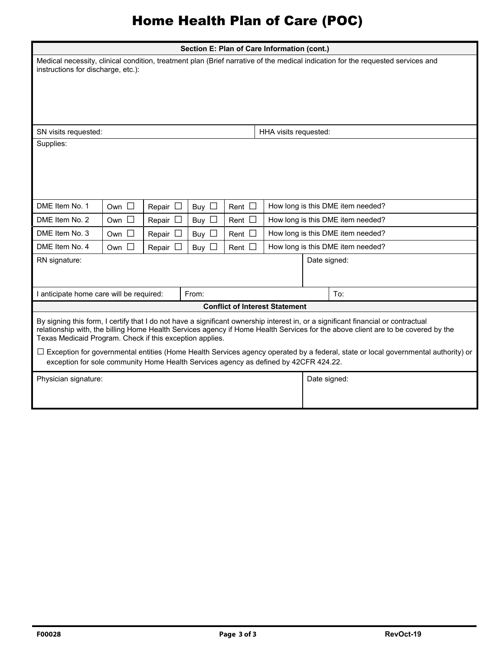# Home Health Plan of Care (POC)

| Section E: Plan of Care Information (cont.)<br>Medical necessity, clinical condition, treatment plan (Brief narrative of the medical indication for the requested services and<br>instructions for discharge, etc.):                                                                                                                                                                                                                                                                                                                                                  |               |                  |            |             |                                       |              |                                   |  |  |  |
|-----------------------------------------------------------------------------------------------------------------------------------------------------------------------------------------------------------------------------------------------------------------------------------------------------------------------------------------------------------------------------------------------------------------------------------------------------------------------------------------------------------------------------------------------------------------------|---------------|------------------|------------|-------------|---------------------------------------|--------------|-----------------------------------|--|--|--|
|                                                                                                                                                                                                                                                                                                                                                                                                                                                                                                                                                                       |               |                  |            |             |                                       |              |                                   |  |  |  |
| SN visits requested:                                                                                                                                                                                                                                                                                                                                                                                                                                                                                                                                                  |               |                  |            |             | HHA visits requested:                 |              |                                   |  |  |  |
| Supplies:                                                                                                                                                                                                                                                                                                                                                                                                                                                                                                                                                             |               |                  |            |             |                                       |              |                                   |  |  |  |
| DME Item No. 1                                                                                                                                                                                                                                                                                                                                                                                                                                                                                                                                                        | Own $\Box$    | Repair $\square$ | Buy $\Box$ | Rent $\Box$ |                                       |              | How long is this DME item needed? |  |  |  |
| DME Item No. 2                                                                                                                                                                                                                                                                                                                                                                                                                                                                                                                                                        | Own $\square$ | Repair $\square$ | Buy $\Box$ | Rent $\Box$ |                                       |              | How long is this DME item needed? |  |  |  |
| DME Item No. 3                                                                                                                                                                                                                                                                                                                                                                                                                                                                                                                                                        | Own $\square$ | Repair           | Buy $\Box$ | Rent [      |                                       |              | How long is this DME item needed? |  |  |  |
| DME Item No. 4                                                                                                                                                                                                                                                                                                                                                                                                                                                                                                                                                        | Own $\square$ | Repair $\square$ | Buy $\Box$ | Rent $\Box$ |                                       |              | How long is this DME item needed? |  |  |  |
| RN signature:                                                                                                                                                                                                                                                                                                                                                                                                                                                                                                                                                         |               |                  |            |             |                                       | Date signed: |                                   |  |  |  |
| I anticipate home care will be required:                                                                                                                                                                                                                                                                                                                                                                                                                                                                                                                              |               |                  | From:      |             |                                       |              | To:                               |  |  |  |
|                                                                                                                                                                                                                                                                                                                                                                                                                                                                                                                                                                       |               |                  |            |             | <b>Conflict of Interest Statement</b> |              |                                   |  |  |  |
| By signing this form, I certify that I do not have a significant ownership interest in, or a significant financial or contractual<br>relationship with, the billing Home Health Services agency if Home Health Services for the above client are to be covered by the<br>Texas Medicaid Program. Check if this exception applies.<br>$\Box$ Exception for governmental entities (Home Health Services agency operated by a federal, state or local governmental authority) or<br>exception for sole community Home Health Services agency as defined by 42CFR 424.22. |               |                  |            |             |                                       |              |                                   |  |  |  |
|                                                                                                                                                                                                                                                                                                                                                                                                                                                                                                                                                                       |               |                  |            |             |                                       |              |                                   |  |  |  |
| Physician signature:                                                                                                                                                                                                                                                                                                                                                                                                                                                                                                                                                  |               |                  |            |             |                                       | Date signed: |                                   |  |  |  |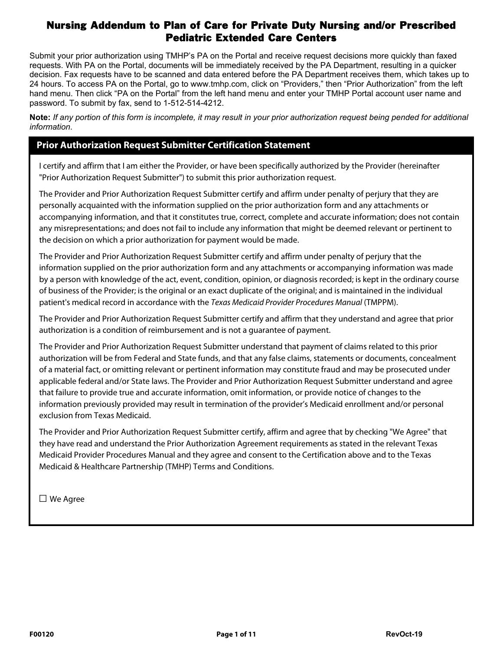Submit your prior authorization using TMHP's PA on the Portal and receive request decisions more quickly than faxed requests. With PA on the Portal, documents will be immediately received by the PA Department, resulting in a quicker decision. Fax requests have to be scanned and data entered before the PA Department receives them, which takes up to 24 hours. To access PA on the Portal, go to www.tmhp.com, click on "Providers," then "Prior Authorization" from the left hand menu. Then click "PA on the Portal" from the left hand menu and enter your TMHP Portal account user name and password. To submit by fax, send to 1-512-514-4212.

**Note:** *If any portion of this form is incomplete, it may result in your prior authorization request being pended for additional information*.

### **Prior Authorization Request Submitter Certification Statement**

I certify and affirm that I am either the Provider, or have been specifically authorized by the Provider (hereinafter "Prior Authorization Request Submitter") to submit this prior authorization request.

The Provider and Prior Authorization Request Submitter certify and affirm under penalty of perjury that they are personally acquainted with the information supplied on the prior authorization form and any attachments or accompanying information, and that it constitutes true, correct, complete and accurate information; does not contain any misrepresentations; and does not fail to include any information that might be deemed relevant or pertinent to the decision on which a prior authorization for payment would be made.

The Provider and Prior Authorization Request Submitter certify and affirm under penalty of perjury that the information supplied on the prior authorization form and any attachments or accompanying information was made by a person with knowledge of the act, event, condition, opinion, or diagnosis recorded; is kept in the ordinary course of business of the Provider; is the original or an exact duplicate of the original; and is maintained in the individual patient's medical record in accordance with the Texas Medicaid Provider Procedures Manual (TMPPM).

The Provider and Prior Authorization Request Submitter certify and affirm that they understand and agree that prior authorization is a condition of reimbursement and is not a guarantee of payment.

The Provider and Prior Authorization Request Submitter understand that payment of claims related to this prior authorization will be from Federal and State funds, and that any false claims, statements or documents, concealment of a material fact, or omitting relevant or pertinent information may constitute fraud and may be prosecuted under applicable federal and/or State laws. The Provider and Prior Authorization Request Submitter understand and agree that failure to provide true and accurate information, omit information, or provide notice of changes to the information previously provided may result in termination of the provider's Medicaid enrollment and/or personal exclusion from Texas Medicaid.

The Provider and Prior Authorization Request Submitter certify, affirm and agree that by checking "We Agree" that they have read and understand the Prior Authorization Agreement requirements as stated in the relevant Texas Medicaid Provider Procedures Manual and they agree and consent to the Certification above and to the Texas Medicaid & Healthcare Partnership (TMHP) Terms and Conditions.

□ We Agree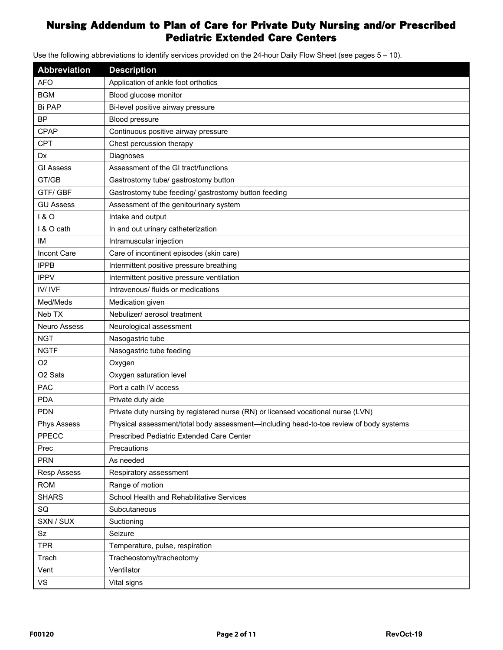Use the following abbreviations to identify services provided on the 24-hour Daily Flow Sheet (see pages 5 – 10).

| Abbreviation        | <b>Description</b>                                                                     |
|---------------------|----------------------------------------------------------------------------------------|
| <b>AFO</b>          | Application of ankle foot orthotics                                                    |
| <b>BGM</b>          | Blood glucose monitor                                                                  |
| <b>Bi PAP</b>       | Bi-level positive airway pressure                                                      |
| <b>BP</b>           | Blood pressure                                                                         |
| CPAP                | Continuous positive airway pressure                                                    |
| <b>CPT</b>          | Chest percussion therapy                                                               |
| Dx                  | Diagnoses                                                                              |
| <b>GI Assess</b>    | Assessment of the GI tract/functions                                                   |
| GT/GB               | Gastrostomy tube/ gastrostomy button                                                   |
| <b>GTF/GBF</b>      | Gastrostomy tube feeding/ gastrostomy button feeding                                   |
| <b>GU Assess</b>    | Assessment of the genitourinary system                                                 |
| 180                 | Intake and output                                                                      |
| I & O cath          | In and out urinary catheterization                                                     |
| ΙM                  | Intramuscular injection                                                                |
| Incont Care         | Care of incontinent episodes (skin care)                                               |
| <b>IPPB</b>         | Intermittent positive pressure breathing                                               |
| <b>IPPV</b>         | Intermittent positive pressure ventilation                                             |
| IV/IVF              | Intravenous/ fluids or medications                                                     |
| Med/Meds            | Medication given                                                                       |
| Neb TX              | Nebulizer/ aerosol treatment                                                           |
| Neuro Assess        | Neurological assessment                                                                |
| <b>NGT</b>          | Nasogastric tube                                                                       |
| <b>NGTF</b>         | Nasogastric tube feeding                                                               |
| O <sub>2</sub>      | Oxygen                                                                                 |
| O <sub>2</sub> Sats | Oxygen saturation level                                                                |
| <b>PAC</b>          | Port a cath IV access                                                                  |
| <b>PDA</b>          | Private duty aide                                                                      |
| <b>PDN</b>          | Private duty nursing by registered nurse (RN) or licensed vocational nurse (LVN)       |
| <b>Phys Assess</b>  | Physical assessment/total body assessment-including head-to-toe review of body systems |
| PPECC               | Prescribed Pediatric Extended Care Center                                              |
| Prec                | Precautions                                                                            |
| <b>PRN</b>          | As needed                                                                              |
| <b>Resp Assess</b>  | Respiratory assessment                                                                 |
| <b>ROM</b>          | Range of motion                                                                        |
| <b>SHARS</b>        | School Health and Rehabilitative Services                                              |
| SQ                  | Subcutaneous                                                                           |
| SXN / SUX           | Suctioning                                                                             |
| Sz                  | Seizure                                                                                |
| <b>TPR</b>          | Temperature, pulse, respiration                                                        |
| Trach               | Tracheostomy/tracheotomy                                                               |
| Vent                | Ventilator                                                                             |
| VS                  | Vital signs                                                                            |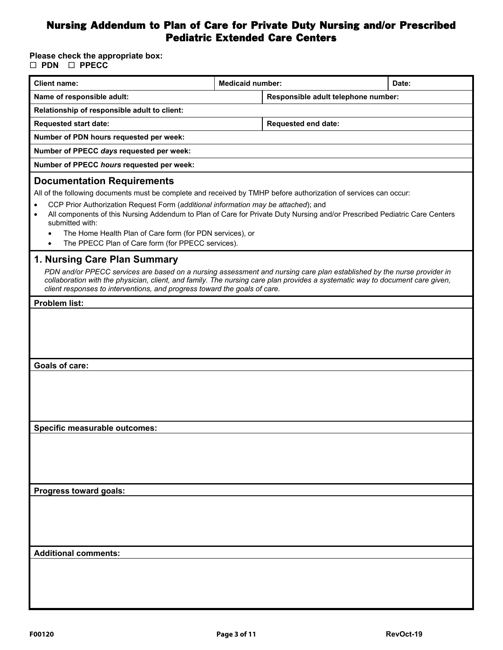### **Please check the appropriate box: PDN PPECC**

| <b>Client name:</b>                                                                                                                                                                                                                                                                                                                                                                                                                                                                                          | <b>Medicaid number:</b> |                                     | Date: |  |  |  |  |  |  |  |
|--------------------------------------------------------------------------------------------------------------------------------------------------------------------------------------------------------------------------------------------------------------------------------------------------------------------------------------------------------------------------------------------------------------------------------------------------------------------------------------------------------------|-------------------------|-------------------------------------|-------|--|--|--|--|--|--|--|
| Name of responsible adult:                                                                                                                                                                                                                                                                                                                                                                                                                                                                                   |                         | Responsible adult telephone number: |       |  |  |  |  |  |  |  |
| Relationship of responsible adult to client:                                                                                                                                                                                                                                                                                                                                                                                                                                                                 |                         |                                     |       |  |  |  |  |  |  |  |
| <b>Requested start date:</b>                                                                                                                                                                                                                                                                                                                                                                                                                                                                                 |                         | Requested end date:                 |       |  |  |  |  |  |  |  |
| Number of PDN hours requested per week:                                                                                                                                                                                                                                                                                                                                                                                                                                                                      |                         |                                     |       |  |  |  |  |  |  |  |
| Number of PPECC days requested per week:                                                                                                                                                                                                                                                                                                                                                                                                                                                                     |                         |                                     |       |  |  |  |  |  |  |  |
| Number of PPECC hours requested per week:                                                                                                                                                                                                                                                                                                                                                                                                                                                                    |                         |                                     |       |  |  |  |  |  |  |  |
| <b>Documentation Requirements</b><br>All of the following documents must be complete and received by TMHP before authorization of services can occur:<br>CCP Prior Authorization Request Form (additional information may be attached); and<br>All components of this Nursing Addendum to Plan of Care for Private Duty Nursing and/or Prescribed Pediatric Care Centers<br>submitted with:<br>The Home Health Plan of Care form (for PDN services), or<br>The PPECC Plan of Care form (for PPECC services). |                         |                                     |       |  |  |  |  |  |  |  |
| 1. Nursing Care Plan Summary<br>PDN and/or PPECC services are based on a nursing assessment and nursing care plan established by the nurse provider in<br>collaboration with the physician, client, and family. The nursing care plan provides a systematic way to document care given,<br>client responses to interventions, and progress toward the goals of care.                                                                                                                                         |                         |                                     |       |  |  |  |  |  |  |  |
| <b>Problem list:</b>                                                                                                                                                                                                                                                                                                                                                                                                                                                                                         |                         |                                     |       |  |  |  |  |  |  |  |
|                                                                                                                                                                                                                                                                                                                                                                                                                                                                                                              |                         |                                     |       |  |  |  |  |  |  |  |
| <b>Goals of care:</b>                                                                                                                                                                                                                                                                                                                                                                                                                                                                                        |                         |                                     |       |  |  |  |  |  |  |  |
|                                                                                                                                                                                                                                                                                                                                                                                                                                                                                                              |                         |                                     |       |  |  |  |  |  |  |  |
| Specific measurable outcomes:                                                                                                                                                                                                                                                                                                                                                                                                                                                                                |                         |                                     |       |  |  |  |  |  |  |  |
|                                                                                                                                                                                                                                                                                                                                                                                                                                                                                                              |                         |                                     |       |  |  |  |  |  |  |  |
| Progress toward goals:                                                                                                                                                                                                                                                                                                                                                                                                                                                                                       |                         |                                     |       |  |  |  |  |  |  |  |
|                                                                                                                                                                                                                                                                                                                                                                                                                                                                                                              |                         |                                     |       |  |  |  |  |  |  |  |
| <b>Additional comments:</b>                                                                                                                                                                                                                                                                                                                                                                                                                                                                                  |                         |                                     |       |  |  |  |  |  |  |  |
|                                                                                                                                                                                                                                                                                                                                                                                                                                                                                                              |                         |                                     |       |  |  |  |  |  |  |  |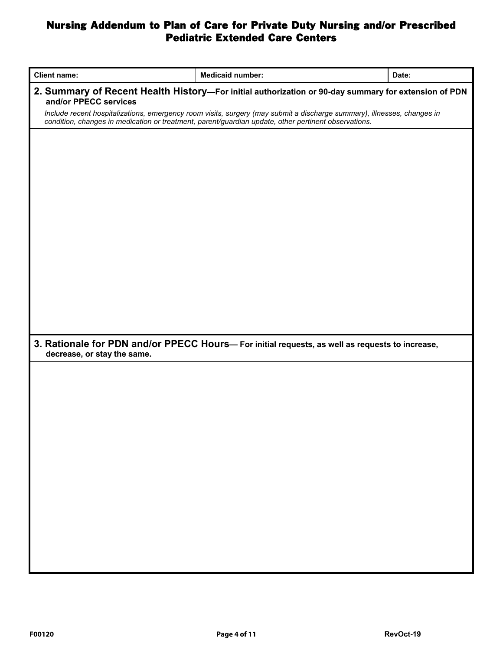| <b>Client name:</b>         | <b>Medicaid number:</b>                                                                                                                                                                                                         | Date: |  |  |  |  |  |  |  |  |
|-----------------------------|---------------------------------------------------------------------------------------------------------------------------------------------------------------------------------------------------------------------------------|-------|--|--|--|--|--|--|--|--|
| and/or PPECC services       | 2. Summary of Recent Health History-For initial authorization or 90-day summary for extension of PDN                                                                                                                            |       |  |  |  |  |  |  |  |  |
|                             | Include recent hospitalizations, emergency room visits, surgery (may submit a discharge summary), illnesses, changes in<br>condition, changes in medication or treatment, parent/guardian update, other pertinent observations. |       |  |  |  |  |  |  |  |  |
|                             |                                                                                                                                                                                                                                 |       |  |  |  |  |  |  |  |  |
|                             |                                                                                                                                                                                                                                 |       |  |  |  |  |  |  |  |  |
|                             |                                                                                                                                                                                                                                 |       |  |  |  |  |  |  |  |  |
|                             |                                                                                                                                                                                                                                 |       |  |  |  |  |  |  |  |  |
|                             |                                                                                                                                                                                                                                 |       |  |  |  |  |  |  |  |  |
|                             |                                                                                                                                                                                                                                 |       |  |  |  |  |  |  |  |  |
|                             |                                                                                                                                                                                                                                 |       |  |  |  |  |  |  |  |  |
|                             |                                                                                                                                                                                                                                 |       |  |  |  |  |  |  |  |  |
|                             |                                                                                                                                                                                                                                 |       |  |  |  |  |  |  |  |  |
|                             |                                                                                                                                                                                                                                 |       |  |  |  |  |  |  |  |  |
|                             |                                                                                                                                                                                                                                 |       |  |  |  |  |  |  |  |  |
|                             |                                                                                                                                                                                                                                 |       |  |  |  |  |  |  |  |  |
|                             |                                                                                                                                                                                                                                 |       |  |  |  |  |  |  |  |  |
| decrease, or stay the same. | 3. Rationale for PDN and/or PPECC Hours- For initial requests, as well as requests to increase,                                                                                                                                 |       |  |  |  |  |  |  |  |  |
|                             |                                                                                                                                                                                                                                 |       |  |  |  |  |  |  |  |  |
|                             |                                                                                                                                                                                                                                 |       |  |  |  |  |  |  |  |  |
|                             |                                                                                                                                                                                                                                 |       |  |  |  |  |  |  |  |  |
|                             |                                                                                                                                                                                                                                 |       |  |  |  |  |  |  |  |  |
|                             |                                                                                                                                                                                                                                 |       |  |  |  |  |  |  |  |  |
|                             |                                                                                                                                                                                                                                 |       |  |  |  |  |  |  |  |  |
|                             |                                                                                                                                                                                                                                 |       |  |  |  |  |  |  |  |  |
|                             |                                                                                                                                                                                                                                 |       |  |  |  |  |  |  |  |  |
|                             |                                                                                                                                                                                                                                 |       |  |  |  |  |  |  |  |  |
|                             |                                                                                                                                                                                                                                 |       |  |  |  |  |  |  |  |  |
|                             |                                                                                                                                                                                                                                 |       |  |  |  |  |  |  |  |  |
|                             |                                                                                                                                                                                                                                 |       |  |  |  |  |  |  |  |  |
|                             |                                                                                                                                                                                                                                 |       |  |  |  |  |  |  |  |  |
|                             |                                                                                                                                                                                                                                 |       |  |  |  |  |  |  |  |  |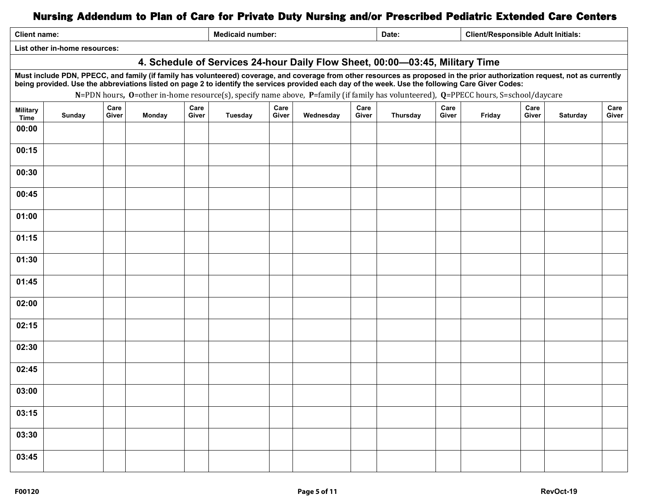| <b>Client name:</b>                                                                                                                                                                                                                                                                                                                                                                                                                                                       |               |               |               |               | <b>Medicaid number:</b> |               |           |               | Date:    |               |        | <b>Client/Responsible Adult Initials:</b> |          |               |
|---------------------------------------------------------------------------------------------------------------------------------------------------------------------------------------------------------------------------------------------------------------------------------------------------------------------------------------------------------------------------------------------------------------------------------------------------------------------------|---------------|---------------|---------------|---------------|-------------------------|---------------|-----------|---------------|----------|---------------|--------|-------------------------------------------|----------|---------------|
| List other in-home resources:                                                                                                                                                                                                                                                                                                                                                                                                                                             |               |               |               |               |                         |               |           |               |          |               |        |                                           |          |               |
| 4. Schedule of Services 24-hour Daily Flow Sheet, 00:00-03:45, Military Time                                                                                                                                                                                                                                                                                                                                                                                              |               |               |               |               |                         |               |           |               |          |               |        |                                           |          |               |
| Must include PDN, PPECC, and family (if family has volunteered) coverage, and coverage from other resources as proposed in the prior authorization request, not as currently<br>being provided. Use the abbreviations listed on page 2 to identify the services provided each day of the week. Use the following Care Giver Codes:<br>N=PDN hours, O=other in-home resource(s), specify name above, P=family (if family has volunteered), Q=PPECC hours, S=school/daycare |               |               |               |               |                         |               |           |               |          |               |        |                                           |          |               |
| <b>Military</b><br>Time                                                                                                                                                                                                                                                                                                                                                                                                                                                   | <b>Sunday</b> | Care<br>Giver | <b>Monday</b> | Care<br>Giver | Tuesday                 | Care<br>Giver | Wednesday | Care<br>Giver | Thursday | Care<br>Giver | Friday | Care<br>Giver                             | Saturday | Care<br>Giver |
| 00:00                                                                                                                                                                                                                                                                                                                                                                                                                                                                     |               |               |               |               |                         |               |           |               |          |               |        |                                           |          |               |
| 00:15                                                                                                                                                                                                                                                                                                                                                                                                                                                                     |               |               |               |               |                         |               |           |               |          |               |        |                                           |          |               |
| 00:30                                                                                                                                                                                                                                                                                                                                                                                                                                                                     |               |               |               |               |                         |               |           |               |          |               |        |                                           |          |               |
| 00:45                                                                                                                                                                                                                                                                                                                                                                                                                                                                     |               |               |               |               |                         |               |           |               |          |               |        |                                           |          |               |
| 01:00                                                                                                                                                                                                                                                                                                                                                                                                                                                                     |               |               |               |               |                         |               |           |               |          |               |        |                                           |          |               |
| 01:15                                                                                                                                                                                                                                                                                                                                                                                                                                                                     |               |               |               |               |                         |               |           |               |          |               |        |                                           |          |               |
| 01:30                                                                                                                                                                                                                                                                                                                                                                                                                                                                     |               |               |               |               |                         |               |           |               |          |               |        |                                           |          |               |
| 01:45                                                                                                                                                                                                                                                                                                                                                                                                                                                                     |               |               |               |               |                         |               |           |               |          |               |        |                                           |          |               |
| 02:00                                                                                                                                                                                                                                                                                                                                                                                                                                                                     |               |               |               |               |                         |               |           |               |          |               |        |                                           |          |               |
| 02:15                                                                                                                                                                                                                                                                                                                                                                                                                                                                     |               |               |               |               |                         |               |           |               |          |               |        |                                           |          |               |
| 02:30                                                                                                                                                                                                                                                                                                                                                                                                                                                                     |               |               |               |               |                         |               |           |               |          |               |        |                                           |          |               |
| 02:45                                                                                                                                                                                                                                                                                                                                                                                                                                                                     |               |               |               |               |                         |               |           |               |          |               |        |                                           |          |               |
| 03:00                                                                                                                                                                                                                                                                                                                                                                                                                                                                     |               |               |               |               |                         |               |           |               |          |               |        |                                           |          |               |
| 03:15                                                                                                                                                                                                                                                                                                                                                                                                                                                                     |               |               |               |               |                         |               |           |               |          |               |        |                                           |          |               |
| 03:30                                                                                                                                                                                                                                                                                                                                                                                                                                                                     |               |               |               |               |                         |               |           |               |          |               |        |                                           |          |               |
| 03:45                                                                                                                                                                                                                                                                                                                                                                                                                                                                     |               |               |               |               |                         |               |           |               |          |               |        |                                           |          |               |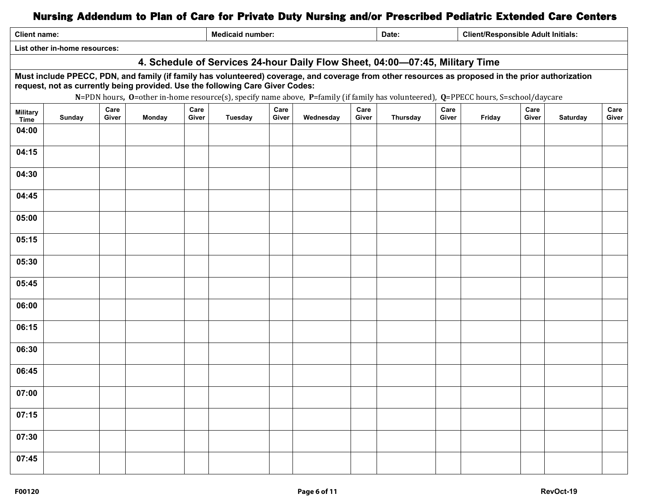| <b>Client name:</b>                                                                                                                                                                                                                                                                                                                                                        |                                                                              |               |               |               | <b>Medicaid number:</b> |               |           |               | Date:    |               | <b>Client/Responsible Adult Initials:</b> |               |                 |               |
|----------------------------------------------------------------------------------------------------------------------------------------------------------------------------------------------------------------------------------------------------------------------------------------------------------------------------------------------------------------------------|------------------------------------------------------------------------------|---------------|---------------|---------------|-------------------------|---------------|-----------|---------------|----------|---------------|-------------------------------------------|---------------|-----------------|---------------|
|                                                                                                                                                                                                                                                                                                                                                                            | List other in-home resources:                                                |               |               |               |                         |               |           |               |          |               |                                           |               |                 |               |
|                                                                                                                                                                                                                                                                                                                                                                            | 4. Schedule of Services 24-hour Daily Flow Sheet, 04:00-07:45, Military Time |               |               |               |                         |               |           |               |          |               |                                           |               |                 |               |
| Must include PPECC, PDN, and family (if family has volunteered) coverage, and coverage from other resources as proposed in the prior authorization<br>request, not as currently being provided. Use the following Care Giver Codes:<br>N=PDN hours, O=other in-home resource(s), specify name above, P=family (if family has volunteered), Q=PPECC hours, S=school/daycare |                                                                              |               |               |               |                         |               |           |               |          |               |                                           |               |                 |               |
| <b>Military</b><br>Time                                                                                                                                                                                                                                                                                                                                                    | Sunday                                                                       | Care<br>Giver | <b>Monday</b> | Care<br>Giver | <b>Tuesday</b>          | Care<br>Giver | Wednesday | Care<br>Giver | Thursday | Care<br>Giver | Friday                                    | Care<br>Giver | <b>Saturday</b> | Care<br>Giver |
| 04:00                                                                                                                                                                                                                                                                                                                                                                      |                                                                              |               |               |               |                         |               |           |               |          |               |                                           |               |                 |               |
| 04:15                                                                                                                                                                                                                                                                                                                                                                      |                                                                              |               |               |               |                         |               |           |               |          |               |                                           |               |                 |               |
| 04:30                                                                                                                                                                                                                                                                                                                                                                      |                                                                              |               |               |               |                         |               |           |               |          |               |                                           |               |                 |               |
| 04:45                                                                                                                                                                                                                                                                                                                                                                      |                                                                              |               |               |               |                         |               |           |               |          |               |                                           |               |                 |               |
| 05:00                                                                                                                                                                                                                                                                                                                                                                      |                                                                              |               |               |               |                         |               |           |               |          |               |                                           |               |                 |               |
| 05:15                                                                                                                                                                                                                                                                                                                                                                      |                                                                              |               |               |               |                         |               |           |               |          |               |                                           |               |                 |               |
| 05:30                                                                                                                                                                                                                                                                                                                                                                      |                                                                              |               |               |               |                         |               |           |               |          |               |                                           |               |                 |               |
| 05:45                                                                                                                                                                                                                                                                                                                                                                      |                                                                              |               |               |               |                         |               |           |               |          |               |                                           |               |                 |               |
| 06:00                                                                                                                                                                                                                                                                                                                                                                      |                                                                              |               |               |               |                         |               |           |               |          |               |                                           |               |                 |               |
| 06:15                                                                                                                                                                                                                                                                                                                                                                      |                                                                              |               |               |               |                         |               |           |               |          |               |                                           |               |                 |               |
| 06:30                                                                                                                                                                                                                                                                                                                                                                      |                                                                              |               |               |               |                         |               |           |               |          |               |                                           |               |                 |               |
| 06:45                                                                                                                                                                                                                                                                                                                                                                      |                                                                              |               |               |               |                         |               |           |               |          |               |                                           |               |                 |               |
| 07:00                                                                                                                                                                                                                                                                                                                                                                      |                                                                              |               |               |               |                         |               |           |               |          |               |                                           |               |                 |               |
| 07:15                                                                                                                                                                                                                                                                                                                                                                      |                                                                              |               |               |               |                         |               |           |               |          |               |                                           |               |                 |               |
| 07:30                                                                                                                                                                                                                                                                                                                                                                      |                                                                              |               |               |               |                         |               |           |               |          |               |                                           |               |                 |               |
| 07:45                                                                                                                                                                                                                                                                                                                                                                      |                                                                              |               |               |               |                         |               |           |               |          |               |                                           |               |                 |               |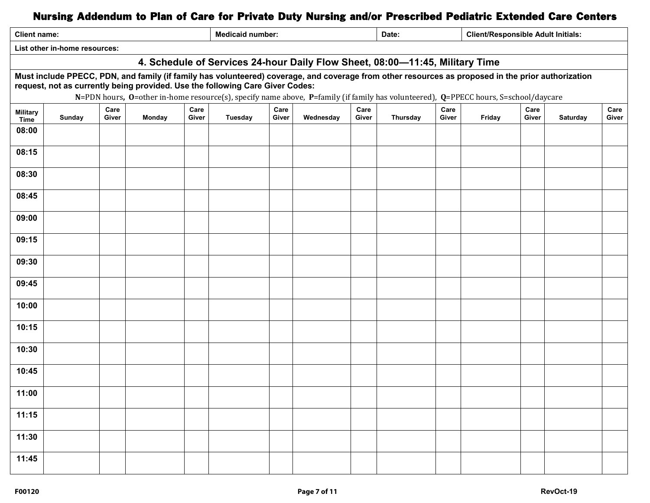| <b>Client name:</b>                                                                                                                                                                                                                                                                                                                                                        |                                                                              |               |        |               | <b>Medicaid number:</b> |               |           |               | Date:    |               |        | <b>Client/Responsible Adult Initials:</b> |          |               |
|----------------------------------------------------------------------------------------------------------------------------------------------------------------------------------------------------------------------------------------------------------------------------------------------------------------------------------------------------------------------------|------------------------------------------------------------------------------|---------------|--------|---------------|-------------------------|---------------|-----------|---------------|----------|---------------|--------|-------------------------------------------|----------|---------------|
|                                                                                                                                                                                                                                                                                                                                                                            | List other in-home resources:                                                |               |        |               |                         |               |           |               |          |               |        |                                           |          |               |
|                                                                                                                                                                                                                                                                                                                                                                            | 4. Schedule of Services 24-hour Daily Flow Sheet, 08:00-11:45, Military Time |               |        |               |                         |               |           |               |          |               |        |                                           |          |               |
| Must include PPECC, PDN, and family (if family has volunteered) coverage, and coverage from other resources as proposed in the prior authorization<br>request, not as currently being provided. Use the following Care Giver Codes:<br>N=PDN hours, O=other in-home resource(s), specify name above, P=family (if family has volunteered), Q=PPECC hours, S=school/daycare |                                                                              |               |        |               |                         |               |           |               |          |               |        |                                           |          |               |
| <b>Military</b><br>Time                                                                                                                                                                                                                                                                                                                                                    | Sunday                                                                       | Care<br>Giver | Monday | Care<br>Giver | <b>Tuesday</b>          | Care<br>Giver | Wednesday | Care<br>Giver | Thursday | Care<br>Giver | Friday | Care<br>Giver                             | Saturday | Care<br>Giver |
| 08:00                                                                                                                                                                                                                                                                                                                                                                      |                                                                              |               |        |               |                         |               |           |               |          |               |        |                                           |          |               |
| 08:15                                                                                                                                                                                                                                                                                                                                                                      |                                                                              |               |        |               |                         |               |           |               |          |               |        |                                           |          |               |
| 08:30                                                                                                                                                                                                                                                                                                                                                                      |                                                                              |               |        |               |                         |               |           |               |          |               |        |                                           |          |               |
| 08:45                                                                                                                                                                                                                                                                                                                                                                      |                                                                              |               |        |               |                         |               |           |               |          |               |        |                                           |          |               |
| 09:00                                                                                                                                                                                                                                                                                                                                                                      |                                                                              |               |        |               |                         |               |           |               |          |               |        |                                           |          |               |
| 09:15                                                                                                                                                                                                                                                                                                                                                                      |                                                                              |               |        |               |                         |               |           |               |          |               |        |                                           |          |               |
| 09:30                                                                                                                                                                                                                                                                                                                                                                      |                                                                              |               |        |               |                         |               |           |               |          |               |        |                                           |          |               |
| 09:45                                                                                                                                                                                                                                                                                                                                                                      |                                                                              |               |        |               |                         |               |           |               |          |               |        |                                           |          |               |
| 10:00                                                                                                                                                                                                                                                                                                                                                                      |                                                                              |               |        |               |                         |               |           |               |          |               |        |                                           |          |               |
| 10:15                                                                                                                                                                                                                                                                                                                                                                      |                                                                              |               |        |               |                         |               |           |               |          |               |        |                                           |          |               |
| 10:30                                                                                                                                                                                                                                                                                                                                                                      |                                                                              |               |        |               |                         |               |           |               |          |               |        |                                           |          |               |
| 10:45                                                                                                                                                                                                                                                                                                                                                                      |                                                                              |               |        |               |                         |               |           |               |          |               |        |                                           |          |               |
| 11:00                                                                                                                                                                                                                                                                                                                                                                      |                                                                              |               |        |               |                         |               |           |               |          |               |        |                                           |          |               |
| 11:15                                                                                                                                                                                                                                                                                                                                                                      |                                                                              |               |        |               |                         |               |           |               |          |               |        |                                           |          |               |
| 11:30                                                                                                                                                                                                                                                                                                                                                                      |                                                                              |               |        |               |                         |               |           |               |          |               |        |                                           |          |               |
| 11:45                                                                                                                                                                                                                                                                                                                                                                      |                                                                              |               |        |               |                         |               |           |               |          |               |        |                                           |          |               |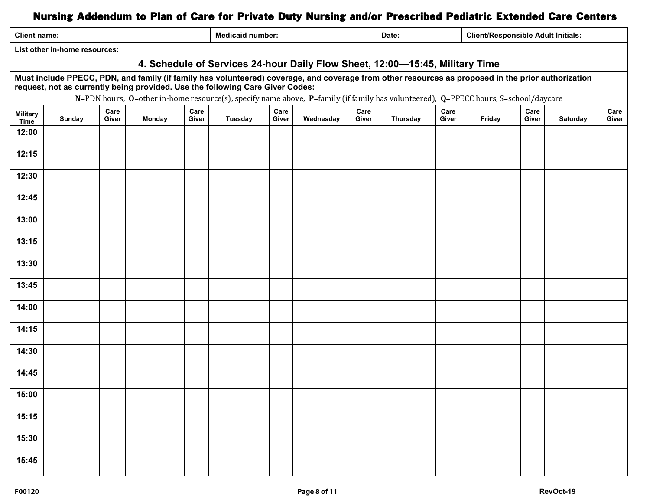| <b>Medicaid number:</b><br><b>Client/Responsible Adult Initials:</b><br><b>Client name:</b><br>Date: |                                                                                                                                                                                                                                                                                                                                                                            |               |        |               |         |               |           |               |          |               |        |               |          |               |
|------------------------------------------------------------------------------------------------------|----------------------------------------------------------------------------------------------------------------------------------------------------------------------------------------------------------------------------------------------------------------------------------------------------------------------------------------------------------------------------|---------------|--------|---------------|---------|---------------|-----------|---------------|----------|---------------|--------|---------------|----------|---------------|
| List other in-home resources:                                                                        |                                                                                                                                                                                                                                                                                                                                                                            |               |        |               |         |               |           |               |          |               |        |               |          |               |
| 4. Schedule of Services 24-hour Daily Flow Sheet, 12:00-15:45, Military Time                         |                                                                                                                                                                                                                                                                                                                                                                            |               |        |               |         |               |           |               |          |               |        |               |          |               |
|                                                                                                      | Must include PPECC, PDN, and family (if family has volunteered) coverage, and coverage from other resources as proposed in the prior authorization<br>request, not as currently being provided. Use the following Care Giver Codes:<br>N=PDN hours, O=other in-home resource(s), specify name above, P=family (if family has volunteered), Q=PPECC hours, S=school/daycare |               |        |               |         |               |           |               |          |               |        |               |          |               |
| <b>Military</b><br><b>Time</b>                                                                       | Sunday                                                                                                                                                                                                                                                                                                                                                                     | Care<br>Giver | Monday | Care<br>Giver | Tuesday | Care<br>Giver | Wednesday | Care<br>Giver | Thursday | Care<br>Giver | Friday | Care<br>Giver | Saturday | Care<br>Giver |
| 12:00                                                                                                |                                                                                                                                                                                                                                                                                                                                                                            |               |        |               |         |               |           |               |          |               |        |               |          |               |
| 12:15                                                                                                |                                                                                                                                                                                                                                                                                                                                                                            |               |        |               |         |               |           |               |          |               |        |               |          |               |
| 12:30                                                                                                |                                                                                                                                                                                                                                                                                                                                                                            |               |        |               |         |               |           |               |          |               |        |               |          |               |
| 12:45                                                                                                |                                                                                                                                                                                                                                                                                                                                                                            |               |        |               |         |               |           |               |          |               |        |               |          |               |
| 13:00                                                                                                |                                                                                                                                                                                                                                                                                                                                                                            |               |        |               |         |               |           |               |          |               |        |               |          |               |
| 13:15                                                                                                |                                                                                                                                                                                                                                                                                                                                                                            |               |        |               |         |               |           |               |          |               |        |               |          |               |
| 13:30                                                                                                |                                                                                                                                                                                                                                                                                                                                                                            |               |        |               |         |               |           |               |          |               |        |               |          |               |
| 13:45                                                                                                |                                                                                                                                                                                                                                                                                                                                                                            |               |        |               |         |               |           |               |          |               |        |               |          |               |
| 14:00                                                                                                |                                                                                                                                                                                                                                                                                                                                                                            |               |        |               |         |               |           |               |          |               |        |               |          |               |
| 14:15                                                                                                |                                                                                                                                                                                                                                                                                                                                                                            |               |        |               |         |               |           |               |          |               |        |               |          |               |
| 14:30                                                                                                |                                                                                                                                                                                                                                                                                                                                                                            |               |        |               |         |               |           |               |          |               |        |               |          |               |
| 14:45                                                                                                |                                                                                                                                                                                                                                                                                                                                                                            |               |        |               |         |               |           |               |          |               |        |               |          |               |
| 15:00                                                                                                |                                                                                                                                                                                                                                                                                                                                                                            |               |        |               |         |               |           |               |          |               |        |               |          |               |
| 15:15                                                                                                |                                                                                                                                                                                                                                                                                                                                                                            |               |        |               |         |               |           |               |          |               |        |               |          |               |
| 15:30                                                                                                |                                                                                                                                                                                                                                                                                                                                                                            |               |        |               |         |               |           |               |          |               |        |               |          |               |
| 15:45                                                                                                |                                                                                                                                                                                                                                                                                                                                                                            |               |        |               |         |               |           |               |          |               |        |               |          |               |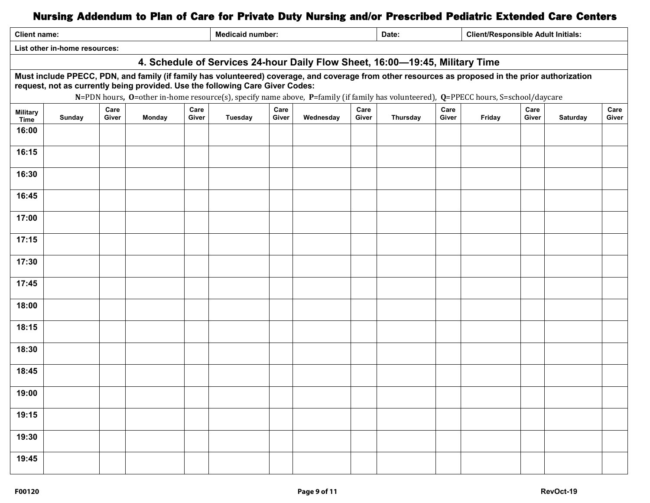| <b>Client name:</b>                                                                                                                                                                                                                                                                                                                                                        |                                                                              |               |        |               | <b>Medicaid number:</b> |               |           |               | Date:    |               |        | <b>Client/Responsible Adult Initials:</b> |          |               |
|----------------------------------------------------------------------------------------------------------------------------------------------------------------------------------------------------------------------------------------------------------------------------------------------------------------------------------------------------------------------------|------------------------------------------------------------------------------|---------------|--------|---------------|-------------------------|---------------|-----------|---------------|----------|---------------|--------|-------------------------------------------|----------|---------------|
|                                                                                                                                                                                                                                                                                                                                                                            | List other in-home resources:                                                |               |        |               |                         |               |           |               |          |               |        |                                           |          |               |
|                                                                                                                                                                                                                                                                                                                                                                            | 4. Schedule of Services 24-hour Daily Flow Sheet, 16:00-19:45, Military Time |               |        |               |                         |               |           |               |          |               |        |                                           |          |               |
| Must include PPECC, PDN, and family (if family has volunteered) coverage, and coverage from other resources as proposed in the prior authorization<br>request, not as currently being provided. Use the following Care Giver Codes:<br>N=PDN hours, O=other in-home resource(s), specify name above, P=family (if family has volunteered), Q=PPECC hours, S=school/daycare |                                                                              |               |        |               |                         |               |           |               |          |               |        |                                           |          |               |
| <b>Military</b><br>Time                                                                                                                                                                                                                                                                                                                                                    | Sunday                                                                       | Care<br>Giver | Monday | Care<br>Giver | <b>Tuesday</b>          | Care<br>Giver | Wednesday | Care<br>Giver | Thursday | Care<br>Giver | Friday | Care<br>Giver                             | Saturday | Care<br>Giver |
| 16:00                                                                                                                                                                                                                                                                                                                                                                      |                                                                              |               |        |               |                         |               |           |               |          |               |        |                                           |          |               |
| 16:15                                                                                                                                                                                                                                                                                                                                                                      |                                                                              |               |        |               |                         |               |           |               |          |               |        |                                           |          |               |
| 16:30                                                                                                                                                                                                                                                                                                                                                                      |                                                                              |               |        |               |                         |               |           |               |          |               |        |                                           |          |               |
| 16:45                                                                                                                                                                                                                                                                                                                                                                      |                                                                              |               |        |               |                         |               |           |               |          |               |        |                                           |          |               |
| 17:00                                                                                                                                                                                                                                                                                                                                                                      |                                                                              |               |        |               |                         |               |           |               |          |               |        |                                           |          |               |
| 17:15                                                                                                                                                                                                                                                                                                                                                                      |                                                                              |               |        |               |                         |               |           |               |          |               |        |                                           |          |               |
| 17:30                                                                                                                                                                                                                                                                                                                                                                      |                                                                              |               |        |               |                         |               |           |               |          |               |        |                                           |          |               |
| 17:45                                                                                                                                                                                                                                                                                                                                                                      |                                                                              |               |        |               |                         |               |           |               |          |               |        |                                           |          |               |
| 18:00                                                                                                                                                                                                                                                                                                                                                                      |                                                                              |               |        |               |                         |               |           |               |          |               |        |                                           |          |               |
| 18:15                                                                                                                                                                                                                                                                                                                                                                      |                                                                              |               |        |               |                         |               |           |               |          |               |        |                                           |          |               |
| 18:30                                                                                                                                                                                                                                                                                                                                                                      |                                                                              |               |        |               |                         |               |           |               |          |               |        |                                           |          |               |
| 18:45                                                                                                                                                                                                                                                                                                                                                                      |                                                                              |               |        |               |                         |               |           |               |          |               |        |                                           |          |               |
| 19:00                                                                                                                                                                                                                                                                                                                                                                      |                                                                              |               |        |               |                         |               |           |               |          |               |        |                                           |          |               |
| 19:15                                                                                                                                                                                                                                                                                                                                                                      |                                                                              |               |        |               |                         |               |           |               |          |               |        |                                           |          |               |
| 19:30                                                                                                                                                                                                                                                                                                                                                                      |                                                                              |               |        |               |                         |               |           |               |          |               |        |                                           |          |               |
| 19:45                                                                                                                                                                                                                                                                                                                                                                      |                                                                              |               |        |               |                         |               |           |               |          |               |        |                                           |          |               |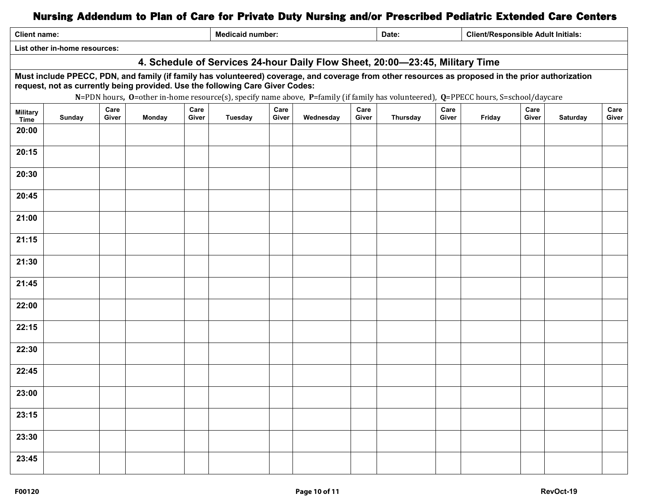| <b>Client name:</b>                                                                                                                                                                                                                                                                                                                                                        |                                                                              |               |        |               | <b>Medicaid number:</b> |               |           |               | <b>Client/Responsible Adult Initials:</b><br>Date: |               |        |               |          |               |
|----------------------------------------------------------------------------------------------------------------------------------------------------------------------------------------------------------------------------------------------------------------------------------------------------------------------------------------------------------------------------|------------------------------------------------------------------------------|---------------|--------|---------------|-------------------------|---------------|-----------|---------------|----------------------------------------------------|---------------|--------|---------------|----------|---------------|
|                                                                                                                                                                                                                                                                                                                                                                            | List other in-home resources:                                                |               |        |               |                         |               |           |               |                                                    |               |        |               |          |               |
|                                                                                                                                                                                                                                                                                                                                                                            | 4. Schedule of Services 24-hour Daily Flow Sheet, 20:00-23:45, Military Time |               |        |               |                         |               |           |               |                                                    |               |        |               |          |               |
| Must include PPECC, PDN, and family (if family has volunteered) coverage, and coverage from other resources as proposed in the prior authorization<br>request, not as currently being provided. Use the following Care Giver Codes:<br>N=PDN hours, O=other in-home resource(s), specify name above, P=family (if family has volunteered), Q=PPECC hours, S=school/daycare |                                                                              |               |        |               |                         |               |           |               |                                                    |               |        |               |          |               |
| <b>Military</b><br>Time                                                                                                                                                                                                                                                                                                                                                    | Sunday                                                                       | Care<br>Giver | Monday | Care<br>Giver | <b>Tuesday</b>          | Care<br>Giver | Wednesday | Care<br>Giver | Thursday                                           | Care<br>Giver | Friday | Care<br>Giver | Saturday | Care<br>Giver |
| 20:00                                                                                                                                                                                                                                                                                                                                                                      |                                                                              |               |        |               |                         |               |           |               |                                                    |               |        |               |          |               |
| 20:15                                                                                                                                                                                                                                                                                                                                                                      |                                                                              |               |        |               |                         |               |           |               |                                                    |               |        |               |          |               |
| 20:30                                                                                                                                                                                                                                                                                                                                                                      |                                                                              |               |        |               |                         |               |           |               |                                                    |               |        |               |          |               |
| 20:45                                                                                                                                                                                                                                                                                                                                                                      |                                                                              |               |        |               |                         |               |           |               |                                                    |               |        |               |          |               |
| 21:00                                                                                                                                                                                                                                                                                                                                                                      |                                                                              |               |        |               |                         |               |           |               |                                                    |               |        |               |          |               |
| 21:15                                                                                                                                                                                                                                                                                                                                                                      |                                                                              |               |        |               |                         |               |           |               |                                                    |               |        |               |          |               |
| 21:30                                                                                                                                                                                                                                                                                                                                                                      |                                                                              |               |        |               |                         |               |           |               |                                                    |               |        |               |          |               |
| 21:45                                                                                                                                                                                                                                                                                                                                                                      |                                                                              |               |        |               |                         |               |           |               |                                                    |               |        |               |          |               |
| 22:00                                                                                                                                                                                                                                                                                                                                                                      |                                                                              |               |        |               |                         |               |           |               |                                                    |               |        |               |          |               |
| 22:15                                                                                                                                                                                                                                                                                                                                                                      |                                                                              |               |        |               |                         |               |           |               |                                                    |               |        |               |          |               |
| 22:30                                                                                                                                                                                                                                                                                                                                                                      |                                                                              |               |        |               |                         |               |           |               |                                                    |               |        |               |          |               |
| 22:45                                                                                                                                                                                                                                                                                                                                                                      |                                                                              |               |        |               |                         |               |           |               |                                                    |               |        |               |          |               |
| 23:00                                                                                                                                                                                                                                                                                                                                                                      |                                                                              |               |        |               |                         |               |           |               |                                                    |               |        |               |          |               |
| 23:15                                                                                                                                                                                                                                                                                                                                                                      |                                                                              |               |        |               |                         |               |           |               |                                                    |               |        |               |          |               |
| 23:30                                                                                                                                                                                                                                                                                                                                                                      |                                                                              |               |        |               |                         |               |           |               |                                                    |               |        |               |          |               |
| 23:45                                                                                                                                                                                                                                                                                                                                                                      |                                                                              |               |        |               |                         |               |           |               |                                                    |               |        |               |          |               |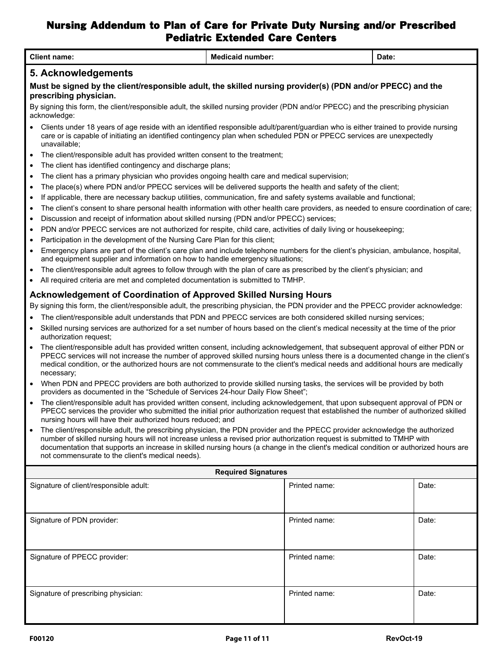|                        | <b>Client name:</b>                                                                                                                                                                                                                                                                                                                                                                                                                                 | <b>Medicaid number:</b>    |               | Date: |       |  |  |  |  |  |
|------------------------|-----------------------------------------------------------------------------------------------------------------------------------------------------------------------------------------------------------------------------------------------------------------------------------------------------------------------------------------------------------------------------------------------------------------------------------------------------|----------------------------|---------------|-------|-------|--|--|--|--|--|
|                        | 5. Acknowledgements                                                                                                                                                                                                                                                                                                                                                                                                                                 |                            |               |       |       |  |  |  |  |  |
|                        | Must be signed by the client/responsible adult, the skilled nursing provider(s) (PDN and/or PPECC) and the<br>prescribing physician.<br>By signing this form, the client/responsible adult, the skilled nursing provider (PDN and/or PPECC) and the prescribing physician<br>acknowledge:                                                                                                                                                           |                            |               |       |       |  |  |  |  |  |
|                        | Clients under 18 years of age reside with an identified responsible adult/parent/guardian who is either trained to provide nursing<br>care or is capable of initiating an identified contingency plan when scheduled PDN or PPECC services are unexpectedly<br>unavailable;                                                                                                                                                                         |                            |               |       |       |  |  |  |  |  |
| $\bullet$              | The client/responsible adult has provided written consent to the treatment;                                                                                                                                                                                                                                                                                                                                                                         |                            |               |       |       |  |  |  |  |  |
| $\bullet$              | The client has identified contingency and discharge plans;                                                                                                                                                                                                                                                                                                                                                                                          |                            |               |       |       |  |  |  |  |  |
| $\bullet$              | The client has a primary physician who provides ongoing health care and medical supervision;                                                                                                                                                                                                                                                                                                                                                        |                            |               |       |       |  |  |  |  |  |
| $\bullet$              | The place(s) where PDN and/or PPECC services will be delivered supports the health and safety of the client;                                                                                                                                                                                                                                                                                                                                        |                            |               |       |       |  |  |  |  |  |
| $\bullet$              | If applicable, there are necessary backup utilities, communication, fire and safety systems available and functional;                                                                                                                                                                                                                                                                                                                               |                            |               |       |       |  |  |  |  |  |
| $\bullet$              | The client's consent to share personal health information with other health care providers, as needed to ensure coordination of care;                                                                                                                                                                                                                                                                                                               |                            |               |       |       |  |  |  |  |  |
| $\bullet$              | Discussion and receipt of information about skilled nursing (PDN and/or PPECC) services;<br>PDN and/or PPECC services are not authorized for respite, child care, activities of daily living or housekeeping;                                                                                                                                                                                                                                       |                            |               |       |       |  |  |  |  |  |
| $\bullet$<br>$\bullet$ |                                                                                                                                                                                                                                                                                                                                                                                                                                                     |                            |               |       |       |  |  |  |  |  |
| $\bullet$              | Participation in the development of the Nursing Care Plan for this client;<br>Emergency plans are part of the client's care plan and include telephone numbers for the client's physician, ambulance, hospital,<br>and equipment supplier and information on how to handle emergency situations;                                                                                                                                                    |                            |               |       |       |  |  |  |  |  |
| $\bullet$              |                                                                                                                                                                                                                                                                                                                                                                                                                                                     |                            |               |       |       |  |  |  |  |  |
| $\bullet$              | The client/responsible adult agrees to follow through with the plan of care as prescribed by the client's physician; and<br>All required criteria are met and completed documentation is submitted to TMHP.                                                                                                                                                                                                                                         |                            |               |       |       |  |  |  |  |  |
|                        | <b>Acknowledgement of Coordination of Approved Skilled Nursing Hours</b>                                                                                                                                                                                                                                                                                                                                                                            |                            |               |       |       |  |  |  |  |  |
|                        | By signing this form, the client/responsible adult, the prescribing physician, the PDN provider and the PPECC provider acknowledge:                                                                                                                                                                                                                                                                                                                 |                            |               |       |       |  |  |  |  |  |
|                        | The client/responsible adult understands that PDN and PPECC services are both considered skilled nursing services;                                                                                                                                                                                                                                                                                                                                  |                            |               |       |       |  |  |  |  |  |
| $\bullet$              | Skilled nursing services are authorized for a set number of hours based on the client's medical necessity at the time of the prior                                                                                                                                                                                                                                                                                                                  |                            |               |       |       |  |  |  |  |  |
|                        | authorization request;                                                                                                                                                                                                                                                                                                                                                                                                                              |                            |               |       |       |  |  |  |  |  |
|                        | The client/responsible adult has provided written consent, including acknowledgement, that subsequent approval of either PDN or<br>PPECC services will not increase the number of approved skilled nursing hours unless there is a documented change in the client's<br>medical condition, or the authorized hours are not commensurate to the client's medical needs and additional hours are medically<br>necessary;                              |                            |               |       |       |  |  |  |  |  |
| $\bullet$              | When PDN and PPECC providers are both authorized to provide skilled nursing tasks, the services will be provided by both<br>providers as documented in the "Schedule of Services 24-hour Daily Flow Sheet";                                                                                                                                                                                                                                         |                            |               |       |       |  |  |  |  |  |
| $\bullet$              | The client/responsible adult has provided written consent, including acknowledgement, that upon subsequent approval of PDN or<br>PPECC services the provider who submitted the initial prior authorization request that established the number of authorized skilled<br>nursing hours will have their authorized hours reduced; and                                                                                                                 |                            |               |       |       |  |  |  |  |  |
| $\bullet$              | The client/responsible adult, the prescribing physician, the PDN provider and the PPECC provider acknowledge the authorized<br>number of skilled nursing hours will not increase unless a revised prior authorization request is submitted to TMHP with<br>documentation that supports an increase in skilled nursing hours (a change in the client's medical condition or authorized hours are<br>not commensurate to the client's medical needs). |                            |               |       |       |  |  |  |  |  |
|                        |                                                                                                                                                                                                                                                                                                                                                                                                                                                     | <b>Required Signatures</b> |               |       |       |  |  |  |  |  |
|                        | Signature of client/responsible adult:                                                                                                                                                                                                                                                                                                                                                                                                              |                            | Printed name: |       | Date: |  |  |  |  |  |
|                        | Signature of PDN provider:                                                                                                                                                                                                                                                                                                                                                                                                                          |                            | Printed name: |       | Date: |  |  |  |  |  |
|                        | Signature of PPECC provider:                                                                                                                                                                                                                                                                                                                                                                                                                        | Printed name:              |               | Date: |       |  |  |  |  |  |
|                        | Signature of prescribing physician:                                                                                                                                                                                                                                                                                                                                                                                                                 |                            | Printed name: |       | Date: |  |  |  |  |  |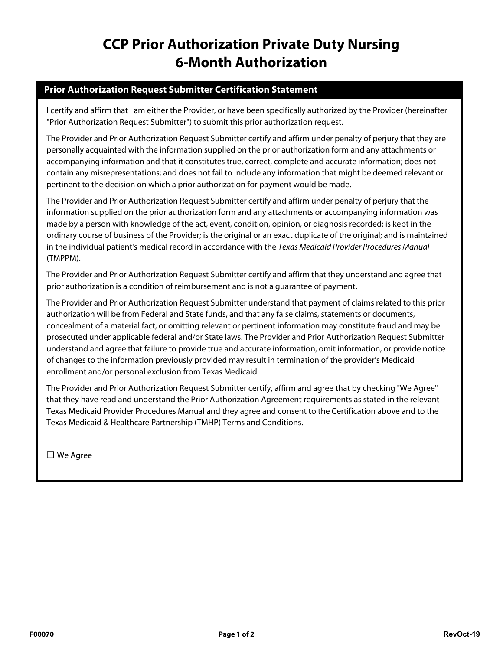# **CCP Prior Authorization Private Duty Nursing 6-Month Authorization**

### **Prior Authorization Request Submitter Certification Statement**

I certify and affirm that I am either the Provider, or have been specifically authorized by the Provider (hereinafter "Prior Authorization Request Submitter") to submit this prior authorization request.

The Provider and Prior Authorization Request Submitter certify and affirm under penalty of perjury that they are personally acquainted with the information supplied on the prior authorization form and any attachments or accompanying information and that it constitutes true, correct, complete and accurate information; does not contain any misrepresentations; and does not fail to include any information that might be deemed relevant or pertinent to the decision on which a prior authorization for payment would be made.

The Provider and Prior Authorization Request Submitter certify and affirm under penalty of perjury that the information supplied on the prior authorization form and any attachments or accompanying information was made by a person with knowledge of the act, event, condition, opinion, or diagnosis recorded; is kept in the ordinary course of business of the Provider; is the original or an exact duplicate of the original; and is maintained in the individual patient's medical record in accordance with the Texas Medicaid Provider Procedures Manual (TMPPM).

The Provider and Prior Authorization Request Submitter certify and affirm that they understand and agree that prior authorization is a condition of reimbursement and is not a guarantee of payment.

The Provider and Prior Authorization Request Submitter understand that payment of claims related to this prior authorization will be from Federal and State funds, and that any false claims, statements or documents, concealment of a material fact, or omitting relevant or pertinent information may constitute fraud and may be prosecuted under applicable federal and/or State laws. The Provider and Prior Authorization Request Submitter understand and agree that failure to provide true and accurate information, omit information, or provide notice of changes to the information previously provided may result in termination of the provider's Medicaid enrollment and/or personal exclusion from Texas Medicaid.

The Provider and Prior Authorization Request Submitter certify, affirm and agree that by checking "We Agree" that they have read and understand the Prior Authorization Agreement requirements as stated in the relevant Texas Medicaid Provider Procedures Manual and they agree and consent to the Certification above and to the Texas Medicaid & Healthcare Partnership (TMHP) Terms and Conditions.

□ We Agree